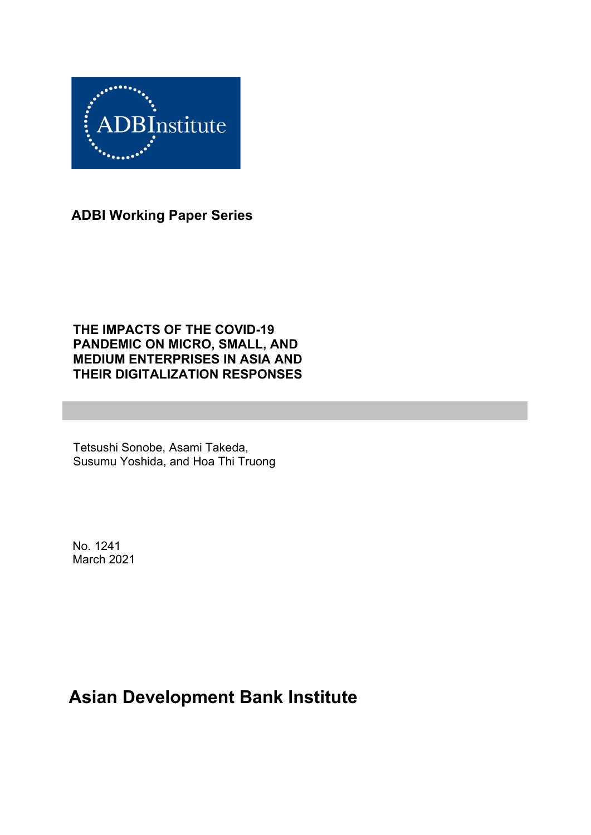

**ADBI Working Paper Series**

### **THE IMPACTS OF THE COVID-19 PANDEMIC ON MICRO, SMALL, AND MEDIUM ENTERPRISES IN ASIA AND THEIR DIGITALIZATION RESPONSES**

Tetsushi Sonobe, Asami Takeda, Susumu Yoshida, and Hoa Thi Truong

No. 1241 March 2021

# **Asian Development Bank Institute**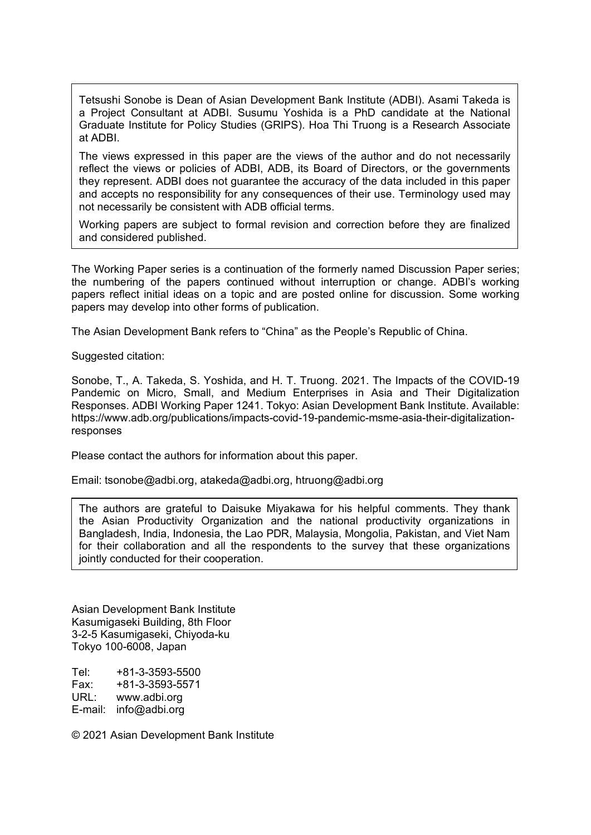Tetsushi Sonobe is Dean of Asian Development Bank Institute (ADBI). Asami Takeda is a Project Consultant at ADBI. Susumu Yoshida is a PhD candidate at the National Graduate Institute for Policy Studies (GRIPS). Hoa Thi Truong is a Research Associate at ADBI.

The views expressed in this paper are the views of the author and do not necessarily reflect the views or policies of ADBI, ADB, its Board of Directors, or the governments they represent. ADBI does not guarantee the accuracy of the data included in this paper and accepts no responsibility for any consequences of their use. Terminology used may not necessarily be consistent with ADB official terms.

Working papers are subject to formal revision and correction before they are finalized and considered published.

The Working Paper series is a continuation of the formerly named Discussion Paper series; the numbering of the papers continued without interruption or change. ADBI's working papers reflect initial ideas on a topic and are posted online for discussion. Some working papers may develop into other forms of publication.

The Asian Development Bank refers to "China" as the People's Republic of China.

Suggested citation:

Sonobe, T., A. Takeda, S. Yoshida, and H. T. Truong. 2021. The Impacts of the COVID-19 Pandemic on Micro, Small, and Medium Enterprises in Asia and Their Digitalization Responses. ADBI Working Paper 1241. Tokyo: Asian Development Bank Institute. Available: https://www.adb.org/publications/impacts-covid-19-pandemic-msme-asia-their-digitalizationresponses

Please contact the authors for information about this paper.

Email: tsonobe@adbi.org, atakeda@adbi.org, htruong@adbi.org

The authors are grateful to Daisuke Miyakawa for his helpful comments. They thank the Asian Productivity Organization and the national productivity organizations in Bangladesh, India, Indonesia, the Lao PDR, Malaysia, Mongolia, Pakistan, and Viet Nam for their collaboration and all the respondents to the survey that these organizations jointly conducted for their cooperation.

Asian Development Bank Institute Kasumigaseki Building, 8th Floor 3-2-5 Kasumigaseki, Chiyoda-ku Tokyo 100-6008, Japan

Tel: +81-3-3593-5500 Fax: +81-3-3593-5571 URL: www.adbi.org E-mail: info@adbi.org

© 2021 Asian Development Bank Institute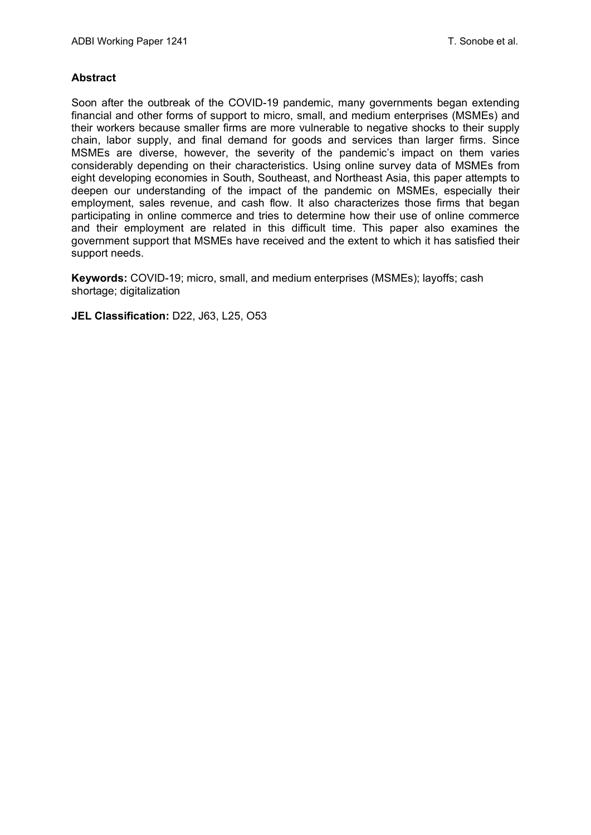#### **Abstract**

Soon after the outbreak of the COVID-19 pandemic, many governments began extending financial and other forms of support to micro, small, and medium enterprises (MSMEs) and their workers because smaller firms are more vulnerable to negative shocks to their supply chain, labor supply, and final demand for goods and services than larger firms. Since MSMEs are diverse, however, the severity of the pandemic's impact on them varies considerably depending on their characteristics. Using online survey data of MSMEs from eight developing economies in South, Southeast, and Northeast Asia, this paper attempts to deepen our understanding of the impact of the pandemic on MSMEs, especially their employment, sales revenue, and cash flow. It also characterizes those firms that began participating in online commerce and tries to determine how their use of online commerce and their employment are related in this difficult time. This paper also examines the government support that MSMEs have received and the extent to which it has satisfied their support needs.

**Keywords:** COVID-19; micro, small, and medium enterprises (MSMEs); layoffs; cash shortage; digitalization

**JEL Classification:** D22, J63, L25, O53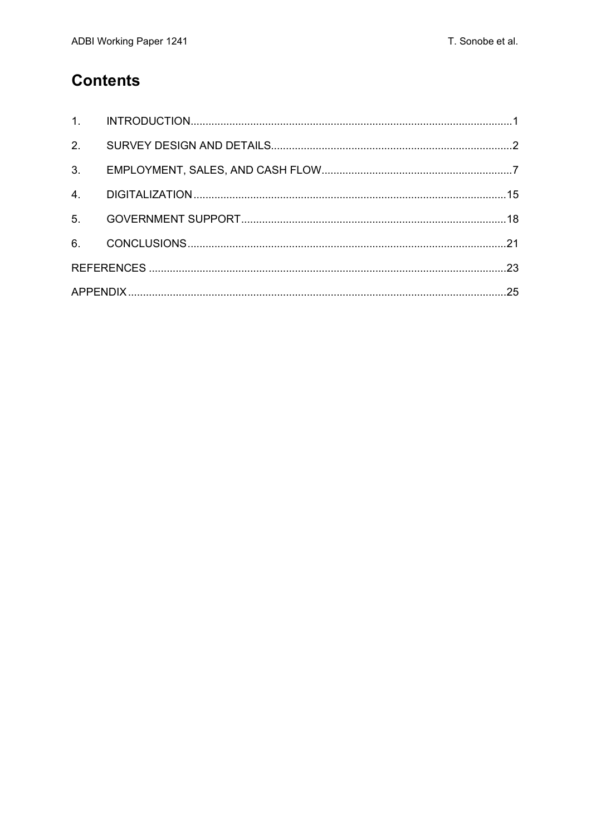### **Contents**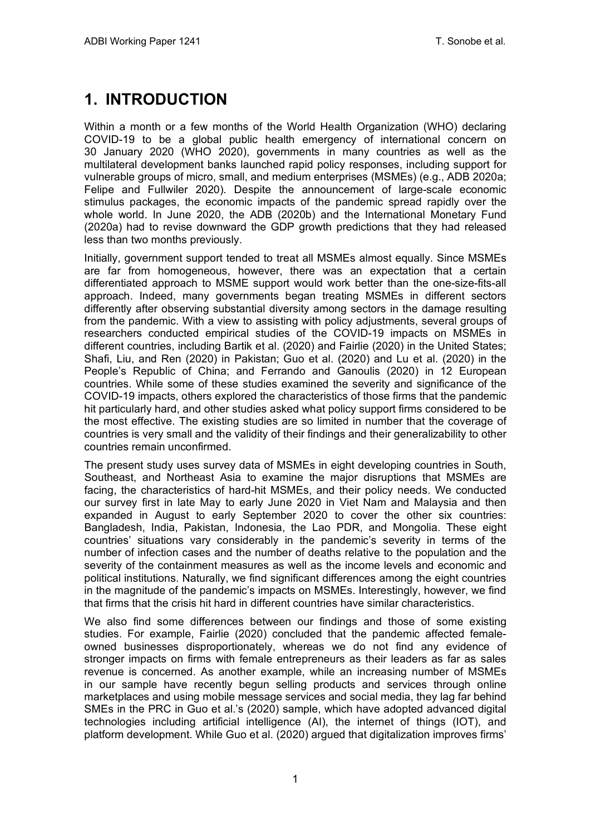# <span id="page-4-0"></span>**1. INTRODUCTION**

Within a month or a few months of the World Health Organization (WHO) declaring COVID-19 to be a global public health emergency of international concern on 30 January 2020 (WHO 2020), governments in many countries as well as the multilateral development banks launched rapid policy responses, including support for vulnerable groups of micro, small, and medium enterprises (MSMEs) (e.g., ADB 2020a; Felipe and Fullwiler 2020). Despite the announcement of large-scale economic stimulus packages, the economic impacts of the pandemic spread rapidly over the whole world. In June 2020, the ADB (2020b) and the International Monetary Fund (2020a) had to revise downward the GDP growth predictions that they had released less than two months previously.

Initially, government support tended to treat all MSMEs almost equally. Since MSMEs are far from homogeneous, however, there was an expectation that a certain differentiated approach to MSME support would work better than the one-size-fits-all approach. Indeed, many governments began treating MSMEs in different sectors differently after observing substantial diversity among sectors in the damage resulting from the pandemic. With a view to assisting with policy adjustments, several groups of researchers conducted empirical studies of the COVID-19 impacts on MSMEs in different countries, including Bartik et al. (2020) and Fairlie (2020) in the United States; Shafi, Liu, and Ren (2020) in Pakistan; Guo et al. (2020) and Lu et al. (2020) in the People's Republic of China; and Ferrando and Ganoulis (2020) in 12 European countries. While some of these studies examined the severity and significance of the COVID-19 impacts, others explored the characteristics of those firms that the pandemic hit particularly hard, and other studies asked what policy support firms considered to be the most effective. The existing studies are so limited in number that the coverage of countries is very small and the validity of their findings and their generalizability to other countries remain unconfirmed.

The present study uses survey data of MSMEs in eight developing countries in South, Southeast, and Northeast Asia to examine the major disruptions that MSMEs are facing, the characteristics of hard-hit MSMEs, and their policy needs. We conducted our survey first in late May to early June 2020 in Viet Nam and Malaysia and then expanded in August to early September 2020 to cover the other six countries: Bangladesh, India, Pakistan, Indonesia, the Lao PDR, and Mongolia. These eight countries' situations vary considerably in the pandemic's severity in terms of the number of infection cases and the number of deaths relative to the population and the severity of the containment measures as well as the income levels and economic and political institutions. Naturally, we find significant differences among the eight countries in the magnitude of the pandemic's impacts on MSMEs. Interestingly, however, we find that firms that the crisis hit hard in different countries have similar characteristics.

We also find some differences between our findings and those of some existing studies. For example, Fairlie (2020) concluded that the pandemic affected femaleowned businesses disproportionately, whereas we do not find any evidence of stronger impacts on firms with female entrepreneurs as their leaders as far as sales revenue is concerned. As another example, while an increasing number of MSMEs in our sample have recently begun selling products and services through online marketplaces and using mobile message services and social media, they lag far behind SMEs in the PRC in Guo et al.'s (2020) sample, which have adopted advanced digital technologies including artificial intelligence (AI), the internet of things (IOT), and platform development. While Guo et al. (2020) argued that digitalization improves firms'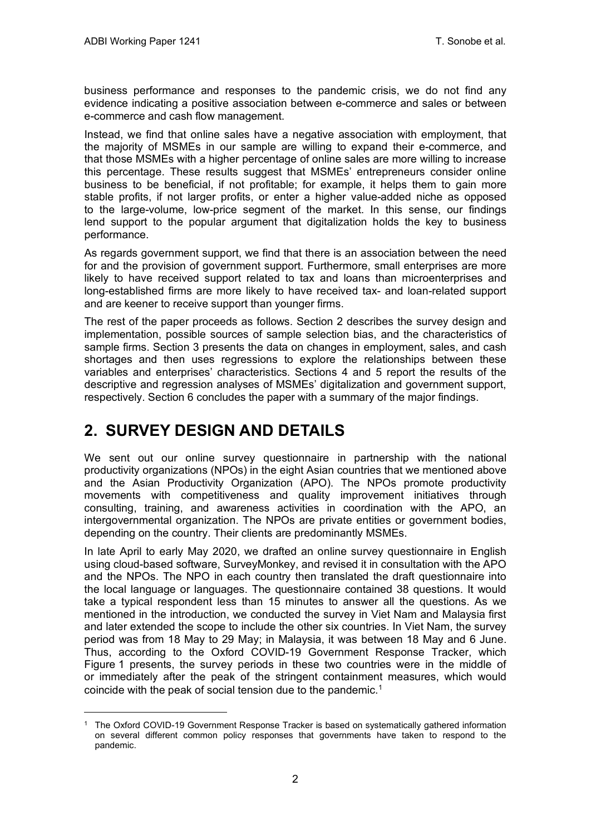business performance and responses to the pandemic crisis, we do not find any evidence indicating a positive association between e-commerce and sales or between e-commerce and cash flow management.

Instead, we find that online sales have a negative association with employment, that the majority of MSMEs in our sample are willing to expand their e-commerce, and that those MSMEs with a higher percentage of online sales are more willing to increase this percentage. These results suggest that MSMEs' entrepreneurs consider online business to be beneficial, if not profitable; for example, it helps them to gain more stable profits, if not larger profits, or enter a higher value-added niche as opposed to the large-volume, low-price segment of the market. In this sense, our findings lend support to the popular argument that digitalization holds the key to business performance.

As regards government support, we find that there is an association between the need for and the provision of government support. Furthermore, small enterprises are more likely to have received support related to tax and loans than microenterprises and long-established firms are more likely to have received tax- and loan-related support and are keener to receive support than younger firms.

The rest of the paper proceeds as follows. Section 2 describes the survey design and implementation, possible sources of sample selection bias, and the characteristics of sample firms. Section 3 presents the data on changes in employment, sales, and cash shortages and then uses regressions to explore the relationships between these variables and enterprises' characteristics. Sections 4 and 5 report the results of the descriptive and regression analyses of MSMEs' digitalization and government support, respectively. Section 6 concludes the paper with a summary of the major findings.

### <span id="page-5-0"></span>**2. SURVEY DESIGN AND DETAILS**

We sent out our online survey questionnaire in partnership with the national productivity organizations (NPOs) in the eight Asian countries that we mentioned above and the Asian Productivity Organization (APO). The NPOs promote productivity movements with competitiveness and quality improvement initiatives through consulting, training, and awareness activities in coordination with the APO, an intergovernmental organization. The NPOs are private entities or government bodies, depending on the country. Their clients are predominantly MSMEs.

In late April to early May 2020, we drafted an online survey questionnaire in English using cloud-based software, SurveyMonkey, and revised it in consultation with the APO and the NPOs. The NPO in each country then translated the draft questionnaire into the local language or languages. The questionnaire contained 38 questions. It would take a typical respondent less than 15 minutes to answer all the questions. As we mentioned in the introduction, we conducted the survey in Viet Nam and Malaysia first and later extended the scope to include the other six countries. In Viet Nam, the survey period was from 18 May to 29 May; in Malaysia, it was between 18 May and 6 June. Thus, according to the Oxford COVID-19 Government Response Tracker, which Figure 1 presents, the survey periods in these two countries were in the middle of or immediately after the peak of the stringent containment measures, which would coincide with the peak of social tension due to the pandemic.<sup>[1](#page-5-1)</sup>

<span id="page-5-1"></span><sup>1</sup> The Oxford COVID-19 Government Response Tracker is based on systematically gathered information on several different common policy responses that governments have taken to respond to the pandemic.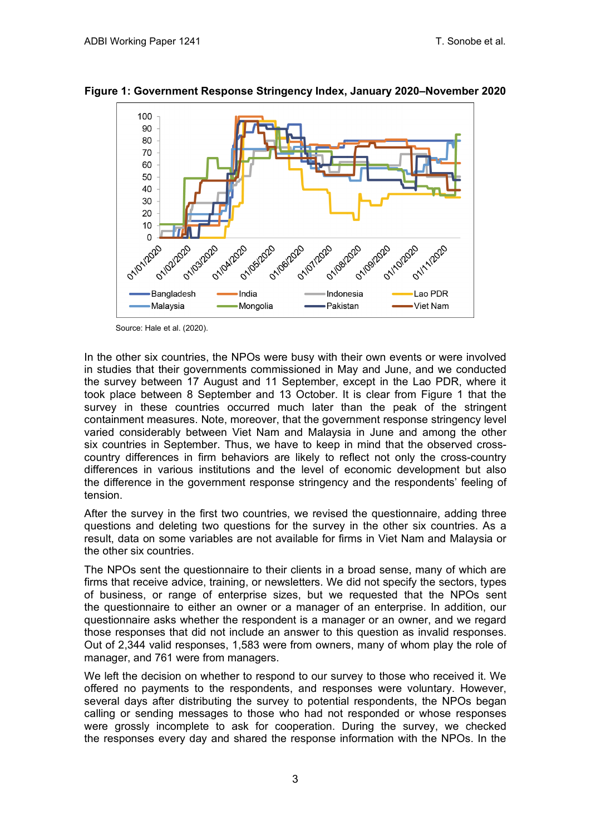

**Figure 1: Government Response Stringency Index, January 2020–November 2020**

Source: Hale et al. (2020).

In the other six countries, the NPOs were busy with their own events or were involved in studies that their governments commissioned in May and June, and we conducted the survey between 17 August and 11 September, except in the Lao PDR, where it took place between 8 September and 13 October. It is clear from Figure 1 that the survey in these countries occurred much later than the peak of the stringent containment measures. Note, moreover, that the government response stringency level varied considerably between Viet Nam and Malaysia in June and among the other six countries in September. Thus, we have to keep in mind that the observed crosscountry differences in firm behaviors are likely to reflect not only the cross-country differences in various institutions and the level of economic development but also the difference in the government response stringency and the respondents' feeling of tension.

After the survey in the first two countries, we revised the questionnaire, adding three questions and deleting two questions for the survey in the other six countries. As a result, data on some variables are not available for firms in Viet Nam and Malaysia or the other six countries.

The NPOs sent the questionnaire to their clients in a broad sense, many of which are firms that receive advice, training, or newsletters. We did not specify the sectors, types of business, or range of enterprise sizes, but we requested that the NPOs sent the questionnaire to either an owner or a manager of an enterprise. In addition, our questionnaire asks whether the respondent is a manager or an owner, and we regard those responses that did not include an answer to this question as invalid responses. Out of 2,344 valid responses, 1,583 were from owners, many of whom play the role of manager, and 761 were from managers.

We left the decision on whether to respond to our survey to those who received it. We offered no payments to the respondents, and responses were voluntary. However, several days after distributing the survey to potential respondents, the NPOs began calling or sending messages to those who had not responded or whose responses were grossly incomplete to ask for cooperation. During the survey, we checked the responses every day and shared the response information with the NPOs. In the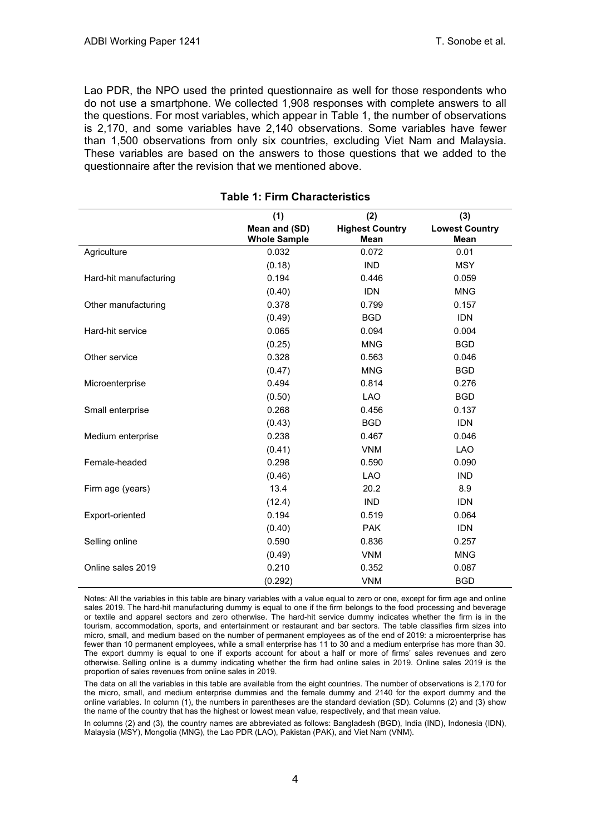Lao PDR, the NPO used the printed questionnaire as well for those respondents who do not use a smartphone. We collected 1,908 responses with complete answers to all the questions. For most variables, which appear in Table 1, the number of observations is 2,170, and some variables have 2,140 observations. Some variables have fewer than 1,500 observations from only six countries, excluding Viet Nam and Malaysia. These variables are based on the answers to those questions that we added to the questionnaire after the revision that we mentioned above.

|                        | (1)                                  | (2)                                   | (3)                                  |
|------------------------|--------------------------------------|---------------------------------------|--------------------------------------|
|                        | Mean and (SD)<br><b>Whole Sample</b> | <b>Highest Country</b><br><b>Mean</b> | <b>Lowest Country</b><br><b>Mean</b> |
| Agriculture            | 0.032                                | 0.072                                 | 0.01                                 |
|                        | (0.18)                               | <b>IND</b>                            | <b>MSY</b>                           |
| Hard-hit manufacturing | 0.194                                | 0.446                                 | 0.059                                |
|                        | (0.40)                               | <b>IDN</b>                            | <b>MNG</b>                           |
| Other manufacturing    | 0.378                                | 0.799                                 | 0.157                                |
|                        | (0.49)                               | <b>BGD</b>                            | <b>IDN</b>                           |
| Hard-hit service       | 0.065                                | 0.094                                 | 0.004                                |
|                        | (0.25)                               | <b>MNG</b>                            | <b>BGD</b>                           |
| Other service          | 0.328                                | 0.563                                 | 0.046                                |
|                        | (0.47)                               | <b>MNG</b>                            | <b>BGD</b>                           |
| Microenterprise        | 0.494                                | 0.814                                 | 0.276                                |
|                        | (0.50)                               | <b>LAO</b>                            | <b>BGD</b>                           |
| Small enterprise       | 0.268                                | 0.456                                 | 0.137                                |
|                        | (0.43)                               | <b>BGD</b>                            | <b>IDN</b>                           |
| Medium enterprise      | 0.238                                | 0.467                                 | 0.046                                |
|                        | (0.41)                               | <b>VNM</b>                            | <b>LAO</b>                           |
| Female-headed          | 0.298                                | 0.590                                 | 0.090                                |
|                        | (0.46)                               | <b>LAO</b>                            | <b>IND</b>                           |
| Firm age (years)       | 13.4                                 | 20.2                                  | 8.9                                  |
|                        | (12.4)                               | <b>IND</b>                            | <b>IDN</b>                           |
| Export-oriented        | 0.194                                | 0.519                                 | 0.064                                |
|                        | (0.40)                               | <b>PAK</b>                            | <b>IDN</b>                           |
| Selling online         | 0.590                                | 0.836                                 | 0.257                                |
|                        | (0.49)                               | <b>VNM</b>                            | <b>MNG</b>                           |
| Online sales 2019      | 0.210                                | 0.352                                 | 0.087                                |
|                        | (0.292)                              | <b>VNM</b>                            | <b>BGD</b>                           |

#### **Table 1: Firm Characteristics**

Notes: All the variables in this table are binary variables with a value equal to zero or one, except for firm age and online sales 2019. The hard-hit manufacturing dummy is equal to one if the firm belongs to the food processing and beverage or textile and apparel sectors and zero otherwise. The hard-hit service dummy indicates whether the firm is in the tourism, accommodation, sports, and entertainment or restaurant and bar sectors. The table classifies firm sizes into micro, small, and medium based on the number of permanent employees as of the end of 2019: a microenterprise has fewer than 10 permanent employees, while a small enterprise has 11 to 30 and a medium enterprise has more than 30. The export dummy is equal to one if exports account for about a half or more of firms' sales revenues and zero otherwise. Selling online is a dummy indicating whether the firm had online sales in 2019. Online sales 2019 is the proportion of sales revenues from online sales in 2019.

The data on all the variables in this table are available from the eight countries. The number of observations is 2,170 for the micro, small, and medium enterprise dummies and the female dummy and 2140 for the export dummy and the online variables. In column (1), the numbers in parentheses are the standard deviation (SD). Columns (2) and (3) show the name of the country that has the highest or lowest mean value, respectively, and that mean value.

In columns (2) and (3), the country names are abbreviated as follows: Bangladesh (BGD), India (IND), Indonesia (IDN), Malaysia (MSY), Mongolia (MNG), the Lao PDR (LAO), Pakistan (PAK), and Viet Nam (VNM).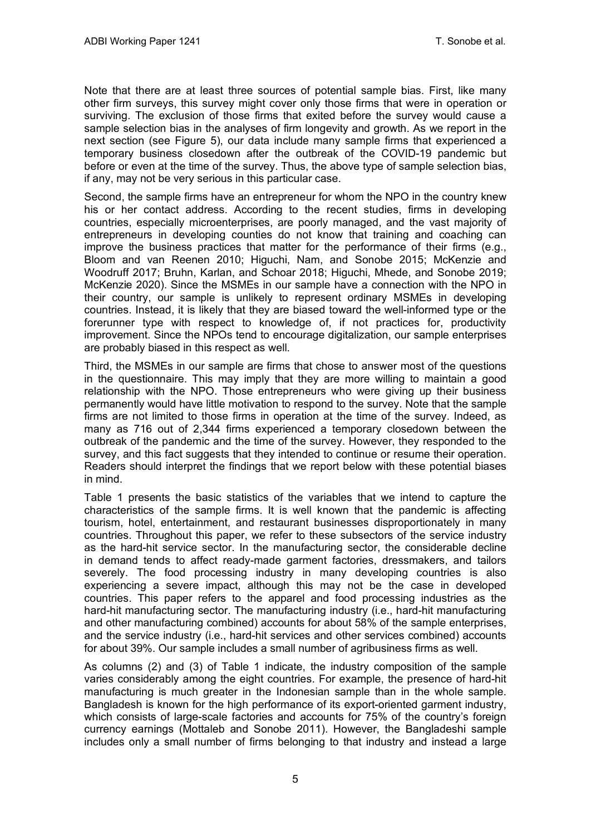Note that there are at least three sources of potential sample bias. First, like many other firm surveys, this survey might cover only those firms that were in operation or surviving. The exclusion of those firms that exited before the survey would cause a sample selection bias in the analyses of firm longevity and growth. As we report in the next section (see Figure 5), our data include many sample firms that experienced a temporary business closedown after the outbreak of the COVID-19 pandemic but before or even at the time of the survey. Thus, the above type of sample selection bias, if any, may not be very serious in this particular case.

Second, the sample firms have an entrepreneur for whom the NPO in the country knew his or her contact address. According to the recent studies, firms in developing countries, especially microenterprises, are poorly managed, and the vast majority of entrepreneurs in developing counties do not know that training and coaching can improve the business practices that matter for the performance of their firms (e.g., Bloom and van Reenen 2010; Higuchi, Nam, and Sonobe 2015; McKenzie and Woodruff 2017; Bruhn, Karlan, and Schoar 2018; Higuchi, Mhede, and Sonobe 2019; McKenzie 2020). Since the MSMEs in our sample have a connection with the NPO in their country, our sample is unlikely to represent ordinary MSMEs in developing countries. Instead, it is likely that they are biased toward the well-informed type or the forerunner type with respect to knowledge of, if not practices for, productivity improvement. Since the NPOs tend to encourage digitalization, our sample enterprises are probably biased in this respect as well.

Third, the MSMEs in our sample are firms that chose to answer most of the questions in the questionnaire. This may imply that they are more willing to maintain a good relationship with the NPO. Those entrepreneurs who were giving up their business permanently would have little motivation to respond to the survey. Note that the sample firms are not limited to those firms in operation at the time of the survey. Indeed, as many as 716 out of 2,344 firms experienced a temporary closedown between the outbreak of the pandemic and the time of the survey. However, they responded to the survey, and this fact suggests that they intended to continue or resume their operation. Readers should interpret the findings that we report below with these potential biases in mind.

Table 1 presents the basic statistics of the variables that we intend to capture the characteristics of the sample firms. It is well known that the pandemic is affecting tourism, hotel, entertainment, and restaurant businesses disproportionately in many countries. Throughout this paper, we refer to these subsectors of the service industry as the hard-hit service sector. In the manufacturing sector, the considerable decline in demand tends to affect ready-made garment factories, dressmakers, and tailors severely. The food processing industry in many developing countries is also experiencing a severe impact, although this may not be the case in developed countries. This paper refers to the apparel and food processing industries as the hard-hit manufacturing sector. The manufacturing industry (i.e., hard-hit manufacturing and other manufacturing combined) accounts for about 58% of the sample enterprises, and the service industry (i.e., hard-hit services and other services combined) accounts for about 39%. Our sample includes a small number of agribusiness firms as well.

As columns (2) and (3) of Table 1 indicate, the industry composition of the sample varies considerably among the eight countries. For example, the presence of hard-hit manufacturing is much greater in the Indonesian sample than in the whole sample. Bangladesh is known for the high performance of its export-oriented garment industry, which consists of large-scale factories and accounts for 75% of the country's foreign currency earnings (Mottaleb and Sonobe 2011). However, the Bangladeshi sample includes only a small number of firms belonging to that industry and instead a large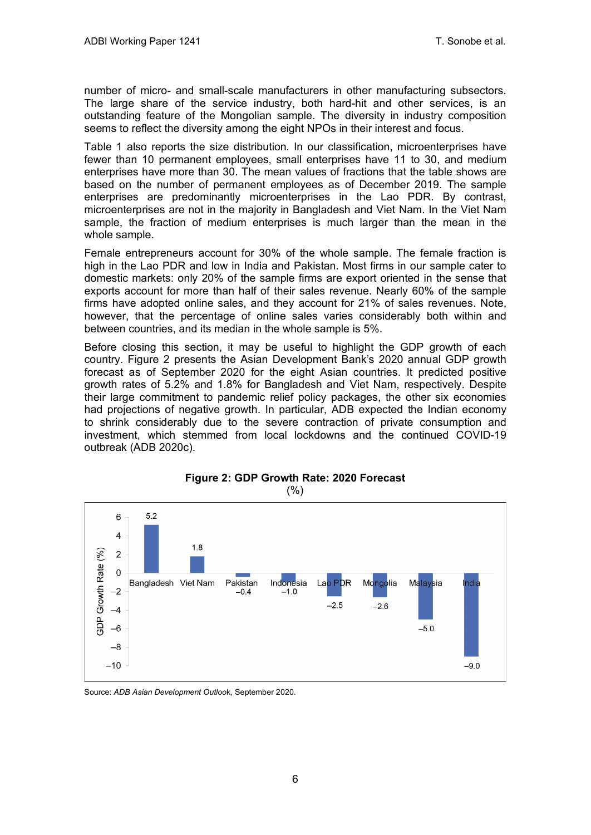number of micro- and small-scale manufacturers in other manufacturing subsectors. The large share of the service industry, both hard-hit and other services, is an outstanding feature of the Mongolian sample. The diversity in industry composition seems to reflect the diversity among the eight NPOs in their interest and focus.

Table 1 also reports the size distribution. In our classification, microenterprises have fewer than 10 permanent employees, small enterprises have 11 to 30, and medium enterprises have more than 30. The mean values of fractions that the table shows are based on the number of permanent employees as of December 2019. The sample enterprises are predominantly microenterprises in the Lao PDR. By contrast, microenterprises are not in the majority in Bangladesh and Viet Nam. In the Viet Nam sample, the fraction of medium enterprises is much larger than the mean in the whole sample.

Female entrepreneurs account for 30% of the whole sample. The female fraction is high in the Lao PDR and low in India and Pakistan. Most firms in our sample cater to domestic markets: only 20% of the sample firms are export oriented in the sense that exports account for more than half of their sales revenue. Nearly 60% of the sample firms have adopted online sales, and they account for 21% of sales revenues. Note, however, that the percentage of online sales varies considerably both within and between countries, and its median in the whole sample is 5%.

Before closing this section, it may be useful to highlight the GDP growth of each country. Figure 2 presents the Asian Development Bank's 2020 annual GDP growth forecast as of September 2020 for the eight Asian countries. It predicted positive growth rates of 5.2% and 1.8% for Bangladesh and Viet Nam, respectively. Despite their large commitment to pandemic relief policy packages, the other six economies had projections of negative growth. In particular, ADB expected the Indian economy to shrink considerably due to the severe contraction of private consumption and investment, which stemmed from local lockdowns and the continued COVID-19 outbreak (ADB 2020c).



**Figure 2: GDP Growth Rate: 2020 Forecast**  (%)

Source: *ADB Asian Development Outloo*k, September 2020.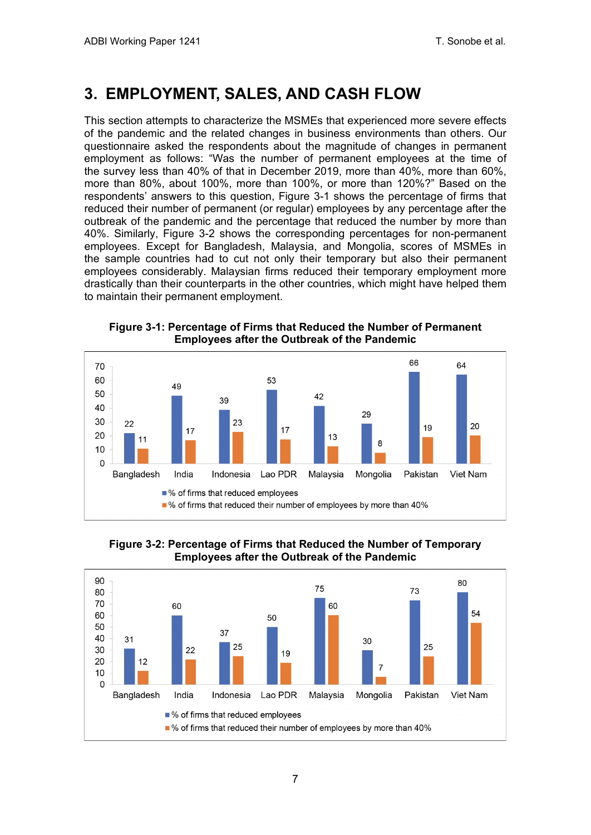### <span id="page-10-0"></span>**3. EMPLOYMENT, SALES, AND CASH FLOW**

This section attempts to characterize the MSMEs that experienced more severe effects of the pandemic and the related changes in business environments than others. Our questionnaire asked the respondents about the magnitude of changes in permanent employment as follows: "Was the number of permanent employees at the time of the survey less than 40% of that in December 2019, more than 40%, more than 60%, more than 80%, about 100%, more than 100%, or more than 120%?" Based on the respondents' answers to this question, Figure 3-1 shows the percentage of firms that reduced their number of permanent (or regular) employees by any percentage after the outbreak of the pandemic and the percentage that reduced the number by more than 40%. Similarly, Figure 3-2 shows the corresponding percentages for non-permanent employees. Except for Bangladesh, Malaysia, and Mongolia, scores of MSMEs in the sample countries had to cut not only their temporary but also their permanent employees considerably. Malaysian firms reduced their temporary employment more drastically than their counterparts in the other countries, which might have helped them to maintain their permanent employment.



**Figure 3-1: Percentage of Firms that Reduced the Number of Permanent Employees after the Outbreak of the Pandemic**

**Figure 3-2: Percentage of Firms that Reduced the Number of Temporary Employees after the Outbreak of the Pandemic**

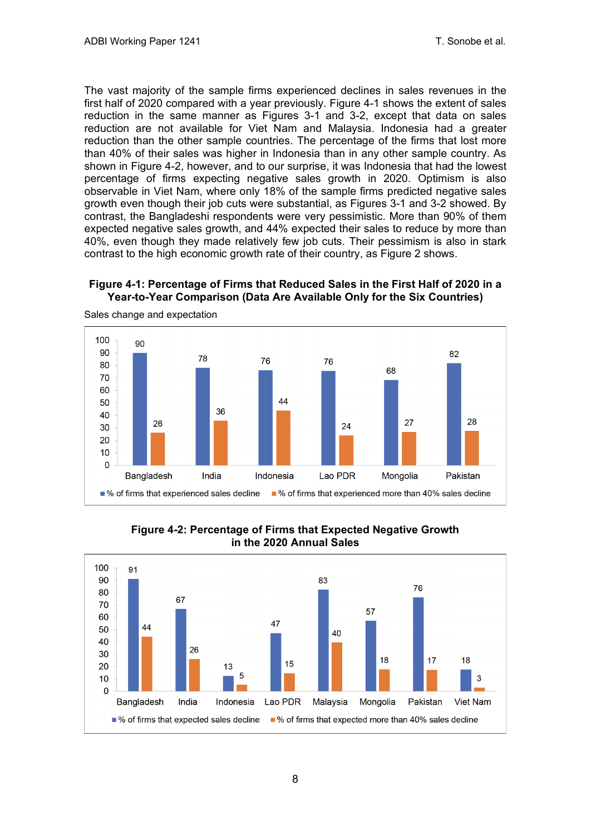The vast majority of the sample firms experienced declines in sales revenues in the first half of 2020 compared with a year previously. Figure 4-1 shows the extent of sales reduction in the same manner as Figures 3-1 and 3-2, except that data on sales reduction are not available for Viet Nam and Malaysia. Indonesia had a greater reduction than the other sample countries. The percentage of the firms that lost more than 40% of their sales was higher in Indonesia than in any other sample country. As shown in Figure 4-2, however, and to our surprise, it was Indonesia that had the lowest percentage of firms expecting negative sales growth in 2020. Optimism is also observable in Viet Nam, where only 18% of the sample firms predicted negative sales growth even though their job cuts were substantial, as Figures 3-1 and 3-2 showed. By contrast, the Bangladeshi respondents were very pessimistic. More than 90% of them expected negative sales growth, and 44% expected their sales to reduce by more than 40%, even though they made relatively few job cuts. Their pessimism is also in stark contrast to the high economic growth rate of their country, as Figure 2 shows.

### **Figure 4-1: Percentage of Firms that Reduced Sales in the First Half of 2020 in a Year-to-Year Comparison (Data Are Available Only for the Six Countries)**



Sales change and expectation

**Figure 4-2: Percentage of Firms that Expected Negative Growth in the 2020 Annual Sales**

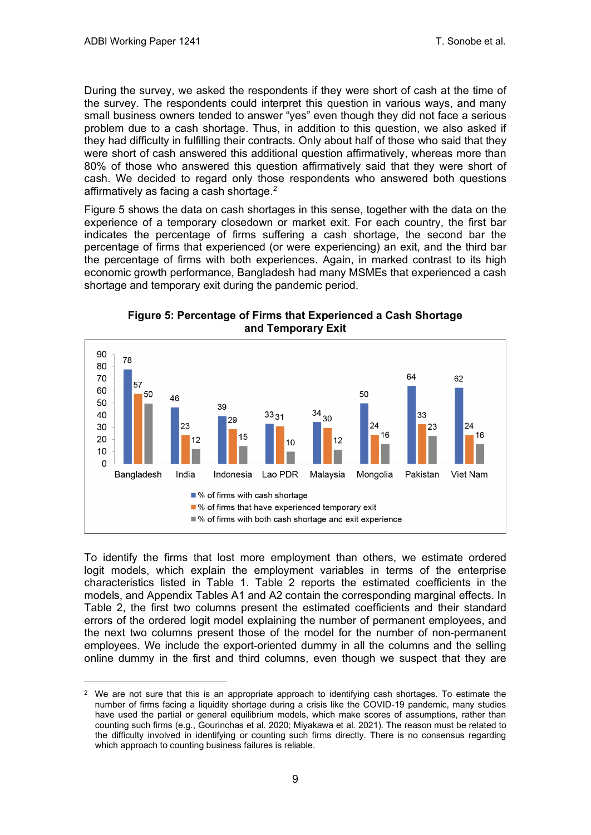During the survey, we asked the respondents if they were short of cash at the time of the survey. The respondents could interpret this question in various ways, and many small business owners tended to answer "yes" even though they did not face a serious problem due to a cash shortage. Thus, in addition to this question, we also asked if they had difficulty in fulfilling their contracts. Only about half of those who said that they were short of cash answered this additional question affirmatively, whereas more than 80% of those who answered this question affirmatively said that they were short of cash. We decided to regard only those respondents who answered both questions affirmatively as facing a cash shortage.[2](#page-12-0)

Figure 5 shows the data on cash shortages in this sense, together with the data on the experience of a temporary closedown or market exit. For each country, the first bar indicates the percentage of firms suffering a cash shortage, the second bar the percentage of firms that experienced (or were experiencing) an exit, and the third bar the percentage of firms with both experiences. Again, in marked contrast to its high economic growth performance, Bangladesh had many MSMEs that experienced a cash shortage and temporary exit during the pandemic period.



**Figure 5: Percentage of Firms that Experienced a Cash Shortage and Temporary Exit**

To identify the firms that lost more employment than others, we estimate ordered logit models, which explain the employment variables in terms of the enterprise characteristics listed in Table 1. Table 2 reports the estimated coefficients in the models, and Appendix Tables A1 and A2 contain the corresponding marginal effects. In Table 2, the first two columns present the estimated coefficients and their standard errors of the ordered logit model explaining the number of permanent employees, and the next two columns present those of the model for the number of non-permanent employees. We include the export-oriented dummy in all the columns and the selling online dummy in the first and third columns, even though we suspect that they are

<span id="page-12-0"></span><sup>&</sup>lt;sup>2</sup> We are not sure that this is an appropriate approach to identifying cash shortages. To estimate the number of firms facing a liquidity shortage during a crisis like the COVID-19 pandemic, many studies have used the partial or general equilibrium models, which make scores of assumptions, rather than counting such firms (e.g., Gourinchas et al. 2020; Miyakawa et al. 2021). The reason must be related to the difficulty involved in identifying or counting such firms directly. There is no consensus regarding which approach to counting business failures is reliable.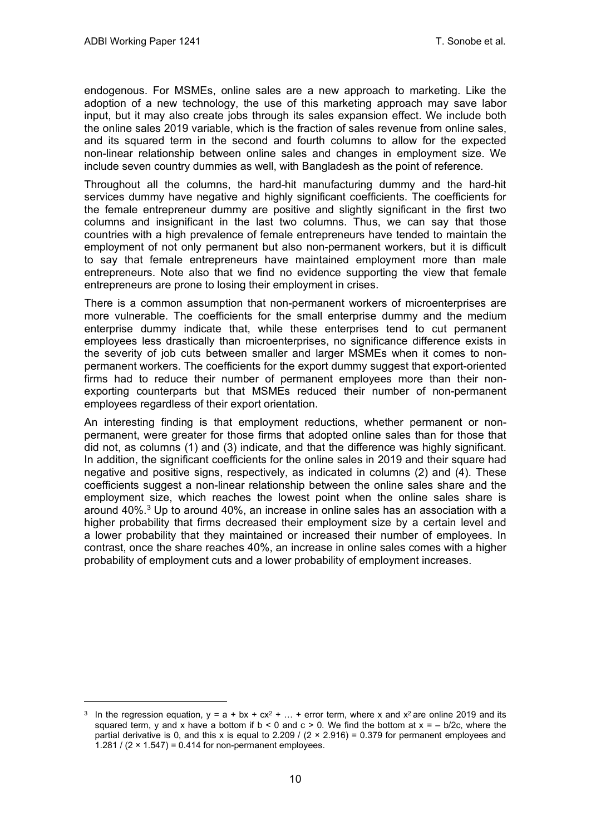endogenous. For MSMEs, online sales are a new approach to marketing. Like the adoption of a new technology, the use of this marketing approach may save labor input, but it may also create jobs through its sales expansion effect. We include both the online sales 2019 variable, which is the fraction of sales revenue from online sales, and its squared term in the second and fourth columns to allow for the expected non-linear relationship between online sales and changes in employment size. We include seven country dummies as well, with Bangladesh as the point of reference.

Throughout all the columns, the hard-hit manufacturing dummy and the hard-hit services dummy have negative and highly significant coefficients. The coefficients for the female entrepreneur dummy are positive and slightly significant in the first two columns and insignificant in the last two columns. Thus, we can say that those countries with a high prevalence of female entrepreneurs have tended to maintain the employment of not only permanent but also non-permanent workers, but it is difficult to say that female entrepreneurs have maintained employment more than male entrepreneurs. Note also that we find no evidence supporting the view that female entrepreneurs are prone to losing their employment in crises.

There is a common assumption that non-permanent workers of microenterprises are more vulnerable. The coefficients for the small enterprise dummy and the medium enterprise dummy indicate that, while these enterprises tend to cut permanent employees less drastically than microenterprises, no significance difference exists in the severity of job cuts between smaller and larger MSMEs when it comes to nonpermanent workers. The coefficients for the export dummy suggest that export-oriented firms had to reduce their number of permanent employees more than their nonexporting counterparts but that MSMEs reduced their number of non-permanent employees regardless of their export orientation.

An interesting finding is that employment reductions, whether permanent or nonpermanent, were greater for those firms that adopted online sales than for those that did not, as columns (1) and (3) indicate, and that the difference was highly significant. In addition, the significant coefficients for the online sales in 2019 and their square had negative and positive signs, respectively, as indicated in columns (2) and (4). These coefficients suggest a non-linear relationship between the online sales share and the employment size, which reaches the lowest point when the online sales share is around  $40\%$ .<sup>[3](#page-13-0)</sup> Up to around  $40\%$ , an increase in online sales has an association with a higher probability that firms decreased their employment size by a certain level and a lower probability that they maintained or increased their number of employees. In contrast, once the share reaches 40%, an increase in online sales comes with a higher probability of employment cuts and a lower probability of employment increases.

<span id="page-13-0"></span><sup>&</sup>lt;sup>3</sup> In the regression equation,  $y = a + bx + cx^2 + ... +$  error term, where x and  $x^2$  are online 2019 and its squared term, y and x have a bottom if  $b < 0$  and  $c > 0$ . We find the bottom at  $x = -b/2c$ , where the partial derivative is 0, and this x is equal to  $2.209$  /  $(2 \times 2.916) = 0.379$  for permanent employees and 1.281 /  $(2 \times 1.547) = 0.414$  for non-permanent employees.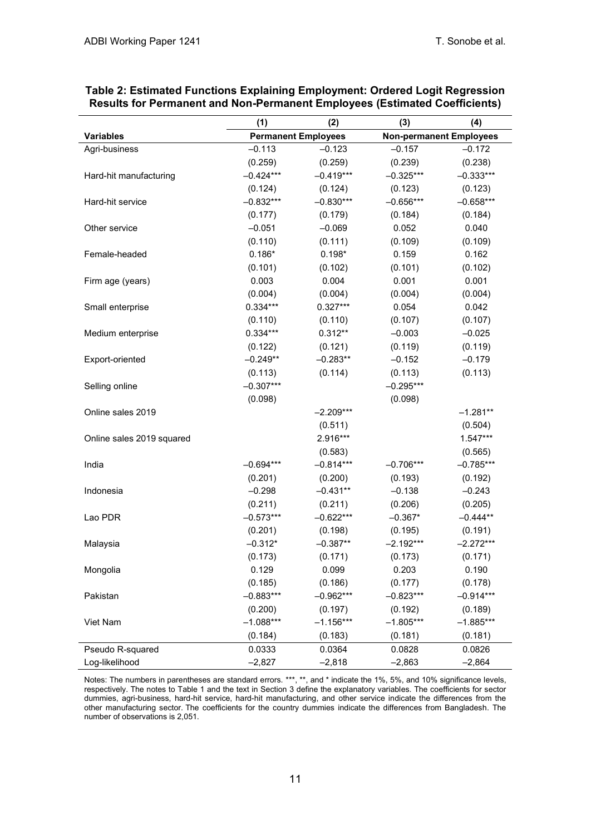|                           | (1)<br>(2)  |                            | (3)                            | (4)         |
|---------------------------|-------------|----------------------------|--------------------------------|-------------|
| <b>Variables</b>          |             | <b>Permanent Employees</b> | <b>Non-permanent Employees</b> |             |
| Agri-business             | $-0.113$    | $-0.123$                   | $-0.157$                       | $-0.172$    |
|                           | (0.259)     | (0.259)                    | (0.239)                        | (0.238)     |
| Hard-hit manufacturing    | $-0.424***$ | $-0.419***$                | $-0.325***$                    | $-0.333***$ |
|                           | (0.124)     | (0.124)                    | (0.123)                        | (0.123)     |
| Hard-hit service          | $-0.832***$ | $-0.830***$                | $-0.656***$                    | $-0.658***$ |
|                           | (0.177)     | (0.179)                    | (0.184)                        | (0.184)     |
| Other service             | $-0.051$    | $-0.069$                   | 0.052                          | 0.040       |
|                           | (0.110)     | (0.111)                    | (0.109)                        | (0.109)     |
| Female-headed             | $0.186*$    | $0.198*$                   | 0.159                          | 0.162       |
|                           | (0.101)     | (0.102)                    | (0.101)                        | (0.102)     |
| Firm age (years)          | 0.003       | 0.004                      | 0.001                          | 0.001       |
|                           | (0.004)     | (0.004)                    | (0.004)                        | (0.004)     |
| Small enterprise          | $0.334***$  | $0.327***$                 | 0.054                          | 0.042       |
|                           | (0.110)     | (0.110)                    | (0.107)                        | (0.107)     |
| Medium enterprise         | $0.334***$  | $0.312**$                  | $-0.003$                       | $-0.025$    |
|                           | (0.122)     | (0.121)                    | (0.119)                        | (0.119)     |
| Export-oriented           | $-0.249**$  | $-0.283**$                 | $-0.152$                       | $-0.179$    |
|                           | (0.113)     | (0.114)                    | (0.113)                        | (0.113)     |
| Selling online            | $-0.307***$ |                            | $-0.295***$                    |             |
|                           | (0.098)     |                            | (0.098)                        |             |
| Online sales 2019         |             | $-2.209***$                |                                | $-1.281**$  |
|                           |             | (0.511)                    |                                | (0.504)     |
| Online sales 2019 squared |             | 2.916***                   |                                | $1.547***$  |
|                           |             | (0.583)                    |                                | (0.565)     |
| India                     | $-0.694***$ | $-0.814***$                | $-0.706***$                    | $-0.785***$ |
|                           | (0.201)     | (0.200)                    | (0.193)                        | (0.192)     |
| Indonesia                 | $-0.298$    | $-0.431**$                 | $-0.138$                       | $-0.243$    |
|                           | (0.211)     | (0.211)                    | (0.206)                        | (0.205)     |
| Lao PDR                   | $-0.573***$ | $-0.622***$                | $-0.367*$                      | $-0.444**$  |
|                           | (0.201)     | (0.198)                    | (0.195)                        | (0.191)     |
| Malaysia                  | $-0.312*$   | $-0.387**$                 | $-2.192***$                    | $-2.272***$ |
|                           | (0.173)     | (0.171)                    | (0.173)                        | (0.171)     |
| Mongolia                  | 0.129       | 0.099                      | 0.203                          | 0.190       |
|                           | (0.185)     | (0.186)                    | (0.177)                        | (0.178)     |
| Pakistan                  | $-0.883***$ | $-0.962***$                | $-0.823***$                    | $-0.914***$ |
|                           | (0.200)     | (0.197)                    | (0.192)                        | (0.189)     |
| Viet Nam                  | $-1.088***$ | $-1.156***$                | $-1.805***$                    | $-1.885***$ |
|                           | (0.184)     | (0.183)                    | (0.181)                        | (0.181)     |
| Pseudo R-squared          | 0.0333      | 0.0364                     | 0.0828                         | 0.0826      |
| Log-likelihood            | $-2,827$    | $-2,818$                   | $-2,863$                       | $-2,864$    |

### **Table 2: Estimated Functions Explaining Employment: Ordered Logit Regression Results for Permanent and Non-Permanent Employees (Estimated Coefficients)**

Notes: The numbers in parentheses are standard errors. \*\*\*, \*\*, and \* indicate the 1%, 5%, and 10% significance levels, respectively. The notes to Table 1 and the text in Section 3 define the explanatory variables. The coefficients for sector dummies, agri-business, hard-hit service, hard-hit manufacturing, and other service indicate the differences from the other manufacturing sector. The coefficients for the country dummies indicate the differences from Bangladesh. The number of observations is 2,051.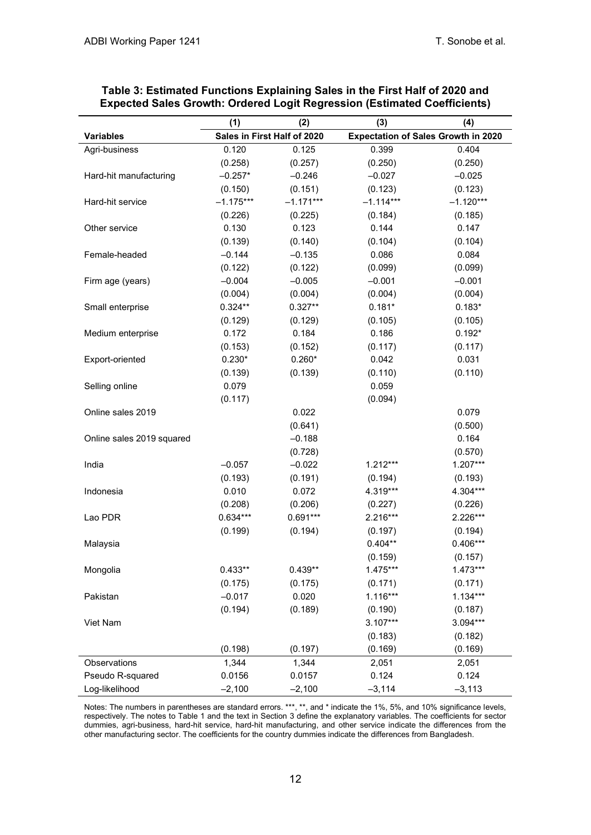|                           | (1)         | (2)                         | (3)         | (4)                                        |
|---------------------------|-------------|-----------------------------|-------------|--------------------------------------------|
| <b>Variables</b>          |             | Sales in First Half of 2020 |             | <b>Expectation of Sales Growth in 2020</b> |
| Agri-business             | 0.120       | 0.125                       | 0.399       | 0.404                                      |
|                           | (0.258)     | (0.257)                     | (0.250)     | (0.250)                                    |
| Hard-hit manufacturing    | $-0.257*$   | $-0.246$                    | $-0.027$    | $-0.025$                                   |
|                           | (0.150)     | (0.151)                     | (0.123)     | (0.123)                                    |
| Hard-hit service          | $-1.175***$ | $-1.171***$                 | $-1.114***$ | $-1.120***$                                |
|                           | (0.226)     | (0.225)                     | (0.184)     | (0.185)                                    |
| Other service             | 0.130       | 0.123                       | 0.144       | 0.147                                      |
|                           | (0.139)     | (0.140)                     | (0.104)     | (0.104)                                    |
| Female-headed             | $-0.144$    | $-0.135$                    | 0.086       | 0.084                                      |
|                           | (0.122)     | (0.122)                     | (0.099)     | (0.099)                                    |
| Firm age (years)          | $-0.004$    | $-0.005$                    | $-0.001$    | $-0.001$                                   |
|                           | (0.004)     | (0.004)                     | (0.004)     | (0.004)                                    |
| Small enterprise          | $0.324**$   | $0.327**$                   | $0.181*$    | $0.183*$                                   |
|                           | (0.129)     | (0.129)                     | (0.105)     | (0.105)                                    |
| Medium enterprise         | 0.172       | 0.184                       | 0.186       | $0.192*$                                   |
|                           | (0.153)     | (0.152)                     | (0.117)     | (0.117)                                    |
| Export-oriented           | $0.230*$    | $0.260*$                    | 0.042       | 0.031                                      |
|                           | (0.139)     | (0.139)                     | (0.110)     | (0.110)                                    |
| Selling online            | 0.079       |                             | 0.059       |                                            |
|                           | (0.117)     |                             | (0.094)     |                                            |
| Online sales 2019         |             | 0.022                       |             | 0.079                                      |
|                           |             | (0.641)                     |             | (0.500)                                    |
| Online sales 2019 squared |             | $-0.188$                    |             | 0.164                                      |
|                           |             | (0.728)                     |             | (0.570)                                    |
| India                     | $-0.057$    | $-0.022$                    | $1.212***$  | $1.207***$                                 |
|                           | (0.193)     | (0.191)                     | (0.194)     | (0.193)                                    |
| Indonesia                 | 0.010       | 0.072                       | 4.319***    | 4.304***                                   |
|                           | (0.208)     | (0.206)                     | (0.227)     | (0.226)                                    |
| Lao PDR                   | $0.634***$  | $0.691***$                  | 2.216***    | 2.226***                                   |
|                           | (0.199)     | (0.194)                     | (0.197)     | (0.194)                                    |
| Malaysia                  |             |                             | $0.404**$   | $0.406***$                                 |
|                           |             |                             | (0.159)     | (0.157)                                    |
| Mongolia                  | $0.433**$   | $0.439**$                   | 1.475***    | $1.473***$                                 |
|                           | (0.175)     | (0.175)                     | (0.171)     | (0.171)                                    |
| Pakistan                  | $-0.017$    | 0.020                       | $1.116***$  | $1.134***$                                 |
|                           | (0.194)     | (0.189)                     | (0.190)     | (0.187)                                    |
| Viet Nam                  |             |                             | $3.107***$  | 3.094***                                   |
|                           |             |                             | (0.183)     | (0.182)                                    |
|                           | (0.198)     | (0.197)                     | (0.169)     | (0.169)                                    |
| Observations              | 1,344       | 1,344                       | 2,051       | 2,051                                      |
| Pseudo R-squared          | 0.0156      | 0.0157                      | 0.124       | 0.124                                      |
| Log-likelihood            | $-2,100$    | $-2,100$                    | $-3,114$    | $-3,113$                                   |

| Table 3: Estimated Functions Explaining Sales in the First Half of 2020 and |  |
|-----------------------------------------------------------------------------|--|
| Expected Sales Growth: Ordered Logit Regression (Estimated Coefficients)    |  |

Notes: The numbers in parentheses are standard errors. \*\*\*, \*\*, and \* indicate the 1%, 5%, and 10% significance levels, respectively. The notes to Table 1 and the text in Section 3 define the explanatory variables. The coefficients for sector dummies, agri-business, hard-hit service, hard-hit manufacturing, and other service indicate the differences from the other manufacturing sector. The coefficients for the country dummies indicate the differences from Bangladesh.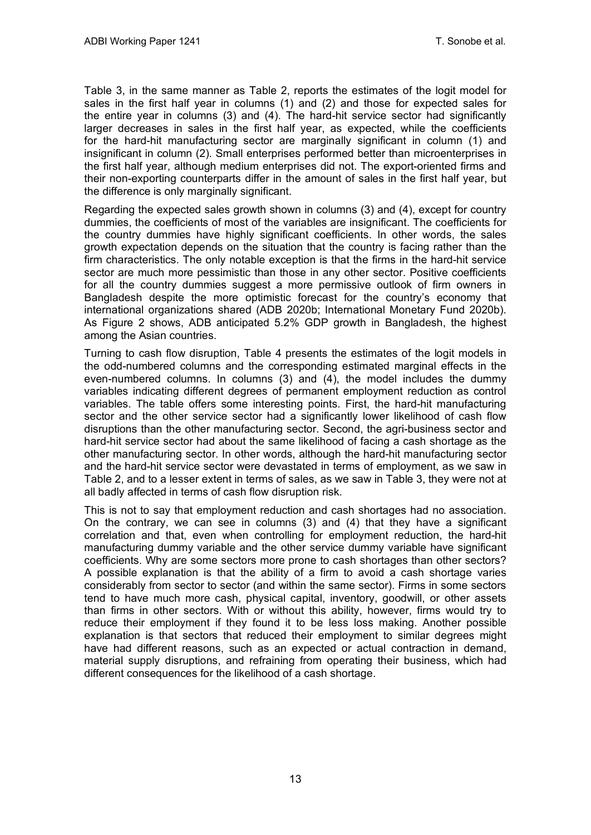Table 3, in the same manner as Table 2, reports the estimates of the logit model for sales in the first half year in columns (1) and (2) and those for expected sales for the entire year in columns (3) and (4). The hard-hit service sector had significantly larger decreases in sales in the first half year, as expected, while the coefficients for the hard-hit manufacturing sector are marginally significant in column (1) and insignificant in column (2). Small enterprises performed better than microenterprises in the first half year, although medium enterprises did not. The export-oriented firms and their non-exporting counterparts differ in the amount of sales in the first half year, but the difference is only marginally significant.

Regarding the expected sales growth shown in columns (3) and (4), except for country dummies, the coefficients of most of the variables are insignificant. The coefficients for the country dummies have highly significant coefficients. In other words, the sales growth expectation depends on the situation that the country is facing rather than the firm characteristics. The only notable exception is that the firms in the hard-hit service sector are much more pessimistic than those in any other sector. Positive coefficients for all the country dummies suggest a more permissive outlook of firm owners in Bangladesh despite the more optimistic forecast for the country's economy that international organizations shared (ADB 2020b; International Monetary Fund 2020b). As Figure 2 shows, ADB anticipated 5.2% GDP growth in Bangladesh, the highest among the Asian countries.

Turning to cash flow disruption, Table 4 presents the estimates of the logit models in the odd-numbered columns and the corresponding estimated marginal effects in the even-numbered columns. In columns (3) and (4), the model includes the dummy variables indicating different degrees of permanent employment reduction as control variables. The table offers some interesting points. First, the hard-hit manufacturing sector and the other service sector had a significantly lower likelihood of cash flow disruptions than the other manufacturing sector. Second, the agri-business sector and hard-hit service sector had about the same likelihood of facing a cash shortage as the other manufacturing sector. In other words, although the hard-hit manufacturing sector and the hard-hit service sector were devastated in terms of employment, as we saw in Table 2, and to a lesser extent in terms of sales, as we saw in Table 3, they were not at all badly affected in terms of cash flow disruption risk.

This is not to say that employment reduction and cash shortages had no association. On the contrary, we can see in columns (3) and (4) that they have a significant correlation and that, even when controlling for employment reduction, the hard-hit manufacturing dummy variable and the other service dummy variable have significant coefficients. Why are some sectors more prone to cash shortages than other sectors? A possible explanation is that the ability of a firm to avoid a cash shortage varies considerably from sector to sector (and within the same sector). Firms in some sectors tend to have much more cash, physical capital, inventory, goodwill, or other assets than firms in other sectors. With or without this ability, however, firms would try to reduce their employment if they found it to be less loss making. Another possible explanation is that sectors that reduced their employment to similar degrees might have had different reasons, such as an expected or actual contraction in demand, material supply disruptions, and refraining from operating their business, which had different consequences for the likelihood of a cash shortage.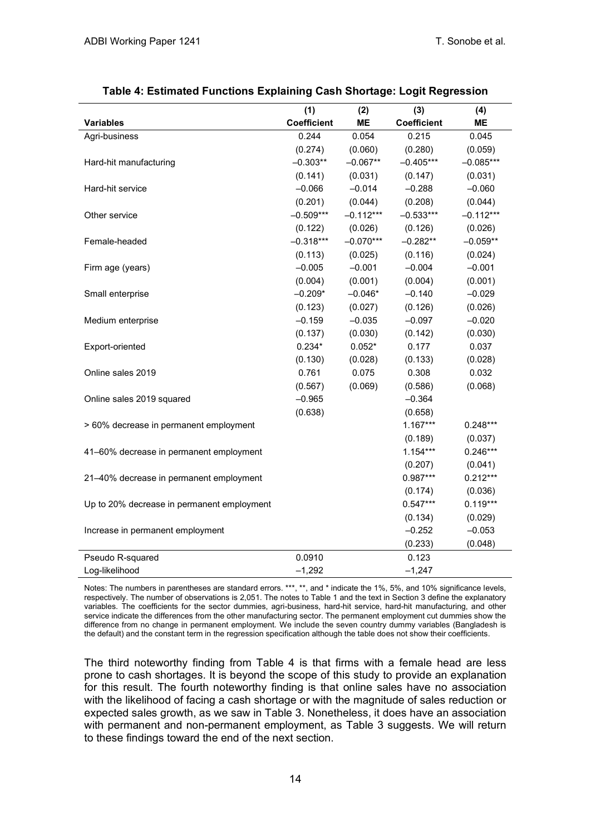|                                            | (1)         | (2)         | (3)                | (4)         |
|--------------------------------------------|-------------|-------------|--------------------|-------------|
| <b>Variables</b>                           | Coefficient | ME          | <b>Coefficient</b> | ME          |
| Agri-business                              | 0.244       | 0.054       | 0.215              | 0.045       |
|                                            | (0.274)     | (0.060)     | (0.280)            | (0.059)     |
| Hard-hit manufacturing                     | $-0.303**$  | $-0.067**$  | $-0.405***$        | $-0.085***$ |
|                                            | (0.141)     | (0.031)     | (0.147)            | (0.031)     |
| Hard-hit service                           | $-0.066$    | $-0.014$    | $-0.288$           | $-0.060$    |
|                                            | (0.201)     | (0.044)     | (0.208)            | (0.044)     |
| Other service                              | $-0.509***$ | $-0.112***$ | $-0.533***$        | $-0.112***$ |
|                                            | (0.122)     | (0.026)     | (0.126)            | (0.026)     |
| Female-headed                              | $-0.318***$ | $-0.070***$ | $-0.282**$         | $-0.059**$  |
|                                            | (0.113)     | (0.025)     | (0.116)            | (0.024)     |
| Firm age (years)                           | $-0.005$    | $-0.001$    | $-0.004$           | $-0.001$    |
|                                            | (0.004)     | (0.001)     | (0.004)            | (0.001)     |
| Small enterprise                           | $-0.209*$   | $-0.046*$   | $-0.140$           | $-0.029$    |
|                                            | (0.123)     | (0.027)     | (0.126)            | (0.026)     |
| Medium enterprise                          | $-0.159$    | $-0.035$    | $-0.097$           | $-0.020$    |
|                                            | (0.137)     | (0.030)     | (0.142)            | (0.030)     |
| Export-oriented                            | $0.234*$    | $0.052*$    | 0.177              | 0.037       |
|                                            | (0.130)     | (0.028)     | (0.133)            | (0.028)     |
| Online sales 2019                          | 0.761       | 0.075       | 0.308              | 0.032       |
|                                            | (0.567)     | (0.069)     | (0.586)            | (0.068)     |
| Online sales 2019 squared                  | $-0.965$    |             | $-0.364$           |             |
|                                            | (0.638)     |             | (0.658)            |             |
| > 60% decrease in permanent employment     |             |             | $1.167***$         | $0.248***$  |
|                                            |             |             | (0.189)            | (0.037)     |
| 41-60% decrease in permanent employment    |             |             | $1.154***$         | $0.246***$  |
|                                            |             |             | (0.207)            | (0.041)     |
| 21-40% decrease in permanent employment    |             |             | $0.987***$         | $0.212***$  |
|                                            |             |             | (0.174)            | (0.036)     |
| Up to 20% decrease in permanent employment |             |             | $0.547***$         | $0.119***$  |
|                                            |             |             | (0.134)            | (0.029)     |
| Increase in permanent employment           |             |             | $-0.252$           | $-0.053$    |
|                                            |             |             | (0.233)            | (0.048)     |
| Pseudo R-squared                           | 0.0910      |             | 0.123              |             |
| Log-likelihood                             | $-1,292$    |             | $-1,247$           |             |

Notes: The numbers in parentheses are standard errors. \*\*\*, \*\*, and \* indicate the 1%, 5%, and 10% significance levels, respectively. The number of observations is 2,051. The notes to Table 1 and the text in Section 3 define the explanatory variables. The coefficients for the sector dummies, agri-business, hard-hit service, hard-hit manufacturing, and other service indicate the differences from the other manufacturing sector. The permanent employment cut dummies show the difference from no change in permanent employment. We include the seven country dummy variables (Bangladesh is the default) and the constant term in the regression specification although the table does not show their coefficients.

The third noteworthy finding from Table 4 is that firms with a female head are less prone to cash shortages. It is beyond the scope of this study to provide an explanation for this result. The fourth noteworthy finding is that online sales have no association with the likelihood of facing a cash shortage or with the magnitude of sales reduction or expected sales growth, as we saw in Table 3. Nonetheless, it does have an association with permanent and non-permanent employment, as Table 3 suggests. We will return to these findings toward the end of the next section.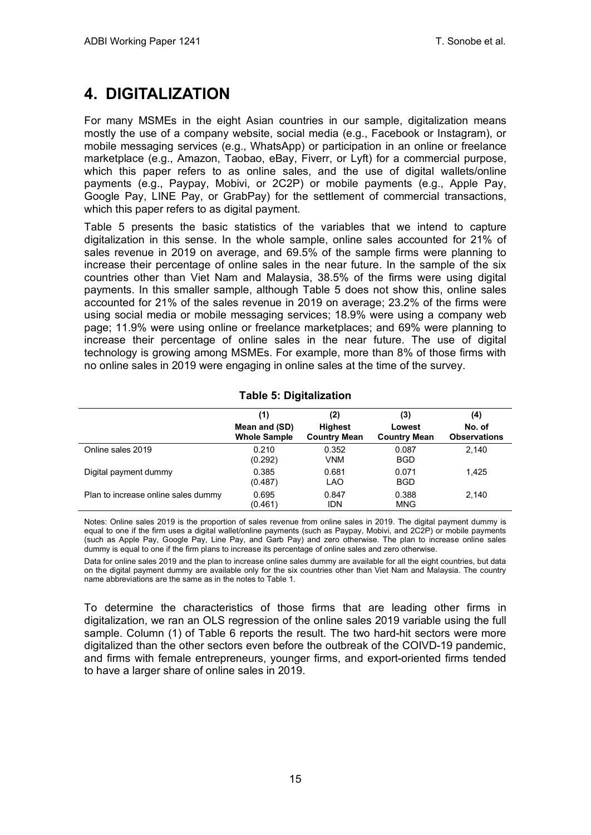## <span id="page-18-0"></span>**4. DIGITALIZATION**

For many MSMEs in the eight Asian countries in our sample, digitalization means mostly the use of a company website, social media (e.g., Facebook or Instagram), or mobile messaging services (e.g., WhatsApp) or participation in an online or freelance marketplace (e.g., Amazon, Taobao, eBay, Fiverr, or Lyft) for a commercial purpose, which this paper refers to as online sales, and the use of digital wallets/online payments (e.g., Paypay, Mobivi, or 2C2P) or mobile payments (e.g., Apple Pay, Google Pay, LINE Pay, or GrabPay) for the settlement of commercial transactions, which this paper refers to as digital payment.

Table 5 presents the basic statistics of the variables that we intend to capture digitalization in this sense. In the whole sample, online sales accounted for 21% of sales revenue in 2019 on average, and 69.5% of the sample firms were planning to increase their percentage of online sales in the near future. In the sample of the six countries other than Viet Nam and Malaysia, 38.5% of the firms were using digital payments. In this smaller sample, although Table 5 does not show this, online sales accounted for 21% of the sales revenue in 2019 on average; 23.2% of the firms were using social media or mobile messaging services; 18.9% were using a company web page; 11.9% were using online or freelance marketplaces; and 69% were planning to increase their percentage of online sales in the near future. The use of digital technology is growing among MSMEs. For example, more than 8% of those firms with no online sales in 2019 were engaging in online sales at the time of the survey.

|                                     | (1)<br>Mean and (SD)<br><b>Whole Sample</b> | (2)<br><b>Highest</b><br><b>Country Mean</b> | (3)<br>Lowest<br><b>Country Mean</b> | (4)<br>No. of<br><b>Observations</b> |
|-------------------------------------|---------------------------------------------|----------------------------------------------|--------------------------------------|--------------------------------------|
| Online sales 2019                   | 0.210<br>(0.292)                            | 0.352<br>VNM                                 | 0.087<br><b>BGD</b>                  | 2.140                                |
| Digital payment dummy               | 0.385<br>(0.487)                            | 0.681<br><b>LAO</b>                          | 0.071<br><b>BGD</b>                  | 1.425                                |
| Plan to increase online sales dummy | 0.695<br>(0.461)                            | 0.847<br><b>IDN</b>                          | 0.388<br><b>MNG</b>                  | 2.140                                |

### **Table 5: Digitalization**

Notes: Online sales 2019 is the proportion of sales revenue from online sales in 2019. The digital payment dummy is equal to one if the firm uses a digital wallet/online payments (such as Paypay, Mobivi, and 2C2P) or mobile payments (such as Apple Pay, Google Pay, Line Pay, and Garb Pay) and zero otherwise. The plan to increase online sales dummy is equal to one if the firm plans to increase its percentage of online sales and zero otherwise.

Data for online sales 2019 and the plan to increase online sales dummy are available for all the eight countries, but data on the digital payment dummy are available only for the six countries other than Viet Nam and Malaysia. The country name abbreviations are the same as in the notes to Table 1.

To determine the characteristics of those firms that are leading other firms in digitalization, we ran an OLS regression of the online sales 2019 variable using the full sample. Column (1) of Table 6 reports the result. The two hard-hit sectors were more digitalized than the other sectors even before the outbreak of the COIVD-19 pandemic, and firms with female entrepreneurs, younger firms, and export-oriented firms tended to have a larger share of online sales in 2019.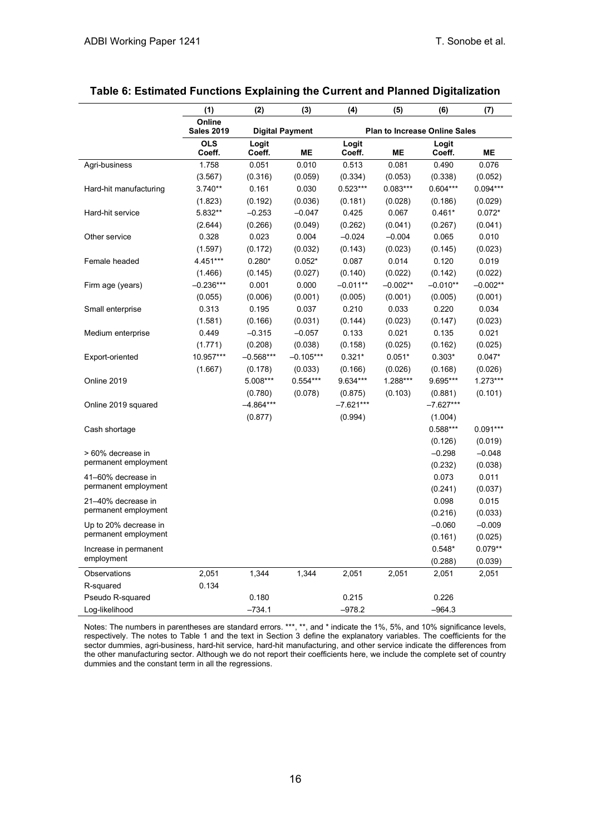|                        | (1)                         | (2)             | (3)                    | (4)                                  | (5)        | (6)             | (7)        |
|------------------------|-----------------------------|-----------------|------------------------|--------------------------------------|------------|-----------------|------------|
|                        | Online<br><b>Sales 2019</b> |                 | <b>Digital Payment</b> | <b>Plan to Increase Online Sales</b> |            |                 |            |
|                        | <b>OLS</b><br>Coeff.        | Logit<br>Coeff. | <b>ME</b>              | Logit<br>Coeff.                      | ME         | Logit<br>Coeff. | <b>ME</b>  |
| Agri-business          | 1.758                       | 0.051           | 0.010                  | 0.513                                | 0.081      | 0.490           | 0.076      |
|                        | (3.567)                     | (0.316)         | (0.059)                | (0.334)                              | (0.053)    | (0.338)         | (0.052)    |
| Hard-hit manufacturing | $3.740**$                   | 0.161           | 0.030                  | $0.523***$                           | $0.083***$ | $0.604***$      | $0.094***$ |
|                        | (1.823)                     | (0.192)         | (0.036)                | (0.181)                              | (0.028)    | (0.186)         | (0.029)    |
| Hard-hit service       | 5.832**                     | $-0.253$        | $-0.047$               | 0.425                                | 0.067      | $0.461*$        | $0.072*$   |
|                        | (2.644)                     | (0.266)         | (0.049)                | (0.262)                              | (0.041)    | (0.267)         | (0.041)    |
| Other service          | 0.328                       | 0.023           | 0.004                  | $-0.024$                             | $-0.004$   | 0.065           | 0.010      |
|                        | (1.597)                     | (0.172)         | (0.032)                | (0.143)                              | (0.023)    | (0.145)         | (0.023)    |
| Female headed          | 4.451***                    | $0.280*$        | $0.052*$               | 0.087                                | 0.014      | 0.120           | 0.019      |
|                        | (1.466)                     | (0.145)         | (0.027)                | (0.140)                              | (0.022)    | (0.142)         | (0.022)    |
| Firm age (years)       | $-0.236***$                 | 0.001           | 0.000                  | $-0.011**$                           | $-0.002**$ | $-0.010**$      | $-0.002**$ |
|                        | (0.055)                     | (0.006)         | (0.001)                | (0.005)                              | (0.001)    | (0.005)         | (0.001)    |
| Small enterprise       | 0.313                       | 0.195           | 0.037                  | 0.210                                | 0.033      | 0.220           | 0.034      |
|                        | (1.581)                     | (0.166)         | (0.031)                | (0.144)                              | (0.023)    | (0.147)         | (0.023)    |
| Medium enterprise      | 0.449                       | $-0.315$        | $-0.057$               | 0.133                                | 0.021      | 0.135           | 0.021      |
|                        | (1.771)                     | (0.208)         | (0.038)                | (0.158)                              | (0.025)    | (0.162)         | (0.025)    |
| Export-oriented        | 10.957***                   | $-0.568***$     | $-0.105***$            | $0.321*$                             | $0.051*$   | $0.303*$        | $0.047*$   |
|                        | (1.667)                     | (0.178)         | (0.033)                | (0.166)                              | (0.026)    | (0.168)         | (0.026)    |
| Online 2019            |                             | 5.008***        | $0.554***$             | 9.634***                             | 1.288***   | 9.695***        | $1.273***$ |
|                        |                             | (0.780)         | (0.078)                | (0.875)                              | (0.103)    | (0.881)         | (0.101)    |
| Online 2019 squared    |                             | $-4.864***$     |                        | $-7.621***$                          |            | $-7.627***$     |            |
|                        |                             | (0.877)         |                        | (0.994)                              |            | (1.004)         |            |
| Cash shortage          |                             |                 |                        |                                      |            | $0.588***$      | $0.091***$ |
|                        |                             |                 |                        |                                      |            | (0.126)         | (0.019)    |
| > 60% decrease in      |                             |                 |                        |                                      |            | $-0.298$        | $-0.048$   |
| permanent employment   |                             |                 |                        |                                      |            | (0.232)         | (0.038)    |
| 41-60% decrease in     |                             |                 |                        |                                      |            | 0.073           | 0.011      |
| permanent employment   |                             |                 |                        |                                      |            | (0.241)         | (0.037)    |
| 21-40% decrease in     |                             |                 |                        |                                      |            | 0.098           | 0.015      |
| permanent employment   |                             |                 |                        |                                      |            | (0.216)         | (0.033)    |
| Up to 20% decrease in  |                             |                 |                        |                                      |            | $-0.060$        | $-0.009$   |
| permanent employment   |                             |                 |                        |                                      |            | (0.161)         | (0.025)    |
| Increase in permanent  |                             |                 |                        |                                      |            | $0.548*$        | $0.079**$  |
| employment             |                             |                 |                        |                                      |            | (0.288)         | (0.039)    |
| Observations           | 2,051                       | 1,344           | 1,344                  | 2,051                                | 2,051      | 2,051           | 2,051      |
| R-squared              | 0.134                       |                 |                        |                                      |            |                 |            |
| Pseudo R-squared       |                             | 0.180           |                        | 0.215                                |            | 0.226           |            |
| Log-likelihood         |                             | $-734.1$        |                        | $-978.2$                             |            | $-964.3$        |            |

### **Table 6: Estimated Functions Explaining the Current and Planned Digitalization**

Notes: The numbers in parentheses are standard errors. \*\*\*, \*\*, and \* indicate the 1%, 5%, and 10% significance levels, respectively. The notes to Table 1 and the text in Section 3 define the explanatory variables. The coefficients for the sector dummies, agri-business, hard-hit service, hard-hit manufacturing, and other service indicate the differences from the other manufacturing sector. Although we do not report their coefficients here, we include the complete set of country dummies and the constant term in all the regressions.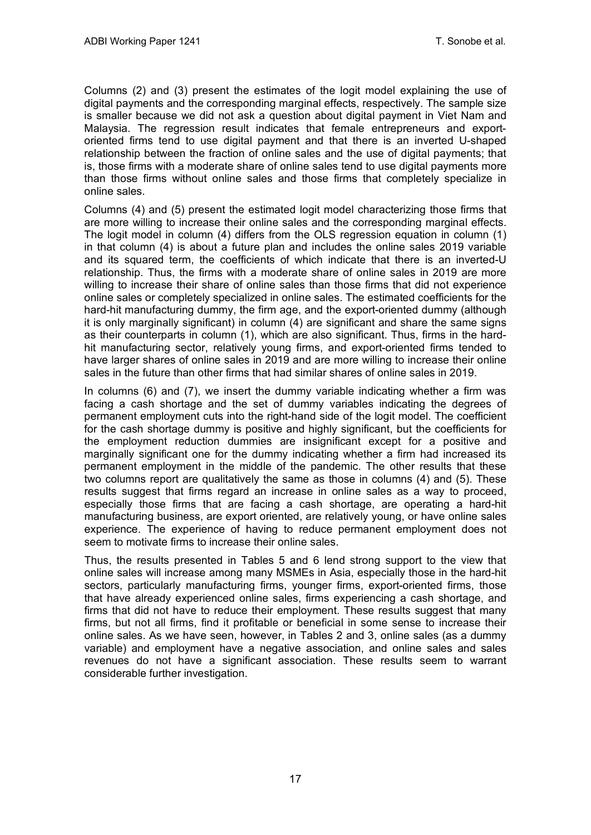Columns (2) and (3) present the estimates of the logit model explaining the use of digital payments and the corresponding marginal effects, respectively. The sample size is smaller because we did not ask a question about digital payment in Viet Nam and Malaysia. The regression result indicates that female entrepreneurs and exportoriented firms tend to use digital payment and that there is an inverted U-shaped relationship between the fraction of online sales and the use of digital payments; that is, those firms with a moderate share of online sales tend to use digital payments more than those firms without online sales and those firms that completely specialize in online sales.

Columns (4) and (5) present the estimated logit model characterizing those firms that are more willing to increase their online sales and the corresponding marginal effects. The logit model in column (4) differs from the OLS regression equation in column (1) in that column (4) is about a future plan and includes the online sales 2019 variable and its squared term, the coefficients of which indicate that there is an inverted-U relationship. Thus, the firms with a moderate share of online sales in 2019 are more willing to increase their share of online sales than those firms that did not experience online sales or completely specialized in online sales. The estimated coefficients for the hard-hit manufacturing dummy, the firm age, and the export-oriented dummy (although it is only marginally significant) in column (4) are significant and share the same signs as their counterparts in column (1), which are also significant. Thus, firms in the hardhit manufacturing sector, relatively young firms, and export-oriented firms tended to have larger shares of online sales in 2019 and are more willing to increase their online sales in the future than other firms that had similar shares of online sales in 2019.

In columns (6) and (7), we insert the dummy variable indicating whether a firm was facing a cash shortage and the set of dummy variables indicating the degrees of permanent employment cuts into the right-hand side of the logit model. The coefficient for the cash shortage dummy is positive and highly significant, but the coefficients for the employment reduction dummies are insignificant except for a positive and marginally significant one for the dummy indicating whether a firm had increased its permanent employment in the middle of the pandemic. The other results that these two columns report are qualitatively the same as those in columns (4) and (5). These results suggest that firms regard an increase in online sales as a way to proceed, especially those firms that are facing a cash shortage, are operating a hard-hit manufacturing business, are export oriented, are relatively young, or have online sales experience. The experience of having to reduce permanent employment does not seem to motivate firms to increase their online sales.

Thus, the results presented in Tables 5 and 6 lend strong support to the view that online sales will increase among many MSMEs in Asia, especially those in the hard-hit sectors, particularly manufacturing firms, younger firms, export-oriented firms, those that have already experienced online sales, firms experiencing a cash shortage, and firms that did not have to reduce their employment. These results suggest that many firms, but not all firms, find it profitable or beneficial in some sense to increase their online sales. As we have seen, however, in Tables 2 and 3, online sales (as a dummy variable) and employment have a negative association, and online sales and sales revenues do not have a significant association. These results seem to warrant considerable further investigation.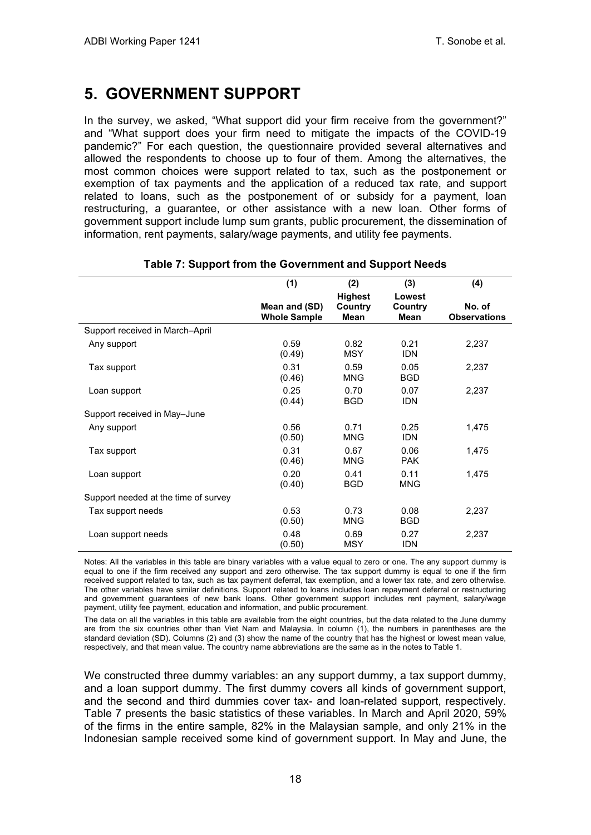### <span id="page-21-0"></span>**5. GOVERNMENT SUPPORT**

In the survey, we asked, "What support did your firm receive from the government?" and "What support does your firm need to mitigate the impacts of the COVID-19 pandemic?" For each question, the questionnaire provided several alternatives and allowed the respondents to choose up to four of them. Among the alternatives, the most common choices were support related to tax, such as the postponement or exemption of tax payments and the application of a reduced tax rate, and support related to loans, such as the postponement of or subsidy for a payment, loan restructuring, a guarantee, or other assistance with a new loan. Other forms of government support include lump sum grants, public procurement, the dissemination of information, rent payments, salary/wage payments, and utility fee payments.

|                                      | (1)                                  | (2)                               | (3)                              | (4)                           |
|--------------------------------------|--------------------------------------|-----------------------------------|----------------------------------|-------------------------------|
|                                      | Mean and (SD)<br><b>Whole Sample</b> | <b>Highest</b><br>Country<br>Mean | Lowest<br>Country<br><b>Mean</b> | No. of<br><b>Observations</b> |
| Support received in March-April      |                                      |                                   |                                  |                               |
| Any support                          | 0.59<br>(0.49)                       | 0.82<br><b>MSY</b>                | 0.21<br><b>IDN</b>               | 2,237                         |
| Tax support                          | 0.31<br>(0.46)                       | 0.59<br><b>MNG</b>                | 0.05<br><b>BGD</b>               | 2,237                         |
| Loan support                         | 0.25<br>(0.44)                       | 0.70<br><b>BGD</b>                | 0.07<br><b>IDN</b>               | 2,237                         |
| Support received in May-June         |                                      |                                   |                                  |                               |
| Any support                          | 0.56<br>(0.50)                       | 0.71<br><b>MNG</b>                | 0.25<br><b>IDN</b>               | 1,475                         |
| Tax support                          | 0.31<br>(0.46)                       | 0.67<br><b>MNG</b>                | 0.06<br><b>PAK</b>               | 1,475                         |
| Loan support                         | 0.20<br>(0.40)                       | 0.41<br><b>BGD</b>                | 0.11<br><b>MNG</b>               | 1,475                         |
| Support needed at the time of survey |                                      |                                   |                                  |                               |
| Tax support needs                    | 0.53<br>(0.50)                       | 0.73<br>MNG                       | 0.08<br><b>BGD</b>               | 2,237                         |
| Loan support needs                   | 0.48<br>(0.50)                       | 0.69<br><b>MSY</b>                | 0.27<br><b>IDN</b>               | 2,237                         |

### **Table 7: Support from the Government and Support Needs**

Notes: All the variables in this table are binary variables with a value equal to zero or one. The any support dummy is equal to one if the firm received any support and zero otherwise. The tax support dummy is equal to one if the firm received support related to tax, such as tax payment deferral, tax exemption, and a lower tax rate, and zero otherwise. The other variables have similar definitions. Support related to loans includes loan repayment deferral or restructuring and government guarantees of new bank loans. Other government support includes rent payment, salary/wage payment, utility fee payment, education and information, and public procurement.

The data on all the variables in this table are available from the eight countries, but the data related to the June dummy are from the six countries other than Viet Nam and Malaysia. In column (1), the numbers in parentheses are the standard deviation (SD). Columns (2) and (3) show the name of the country that has the highest or lowest mean value, respectively, and that mean value. The country name abbreviations are the same as in the notes to Table 1.

We constructed three dummy variables: an any support dummy, a tax support dummy, and a loan support dummy. The first dummy covers all kinds of government support, and the second and third dummies cover tax- and loan-related support, respectively. Table 7 presents the basic statistics of these variables. In March and April 2020, 59% of the firms in the entire sample, 82% in the Malaysian sample, and only 21% in the Indonesian sample received some kind of government support. In May and June, the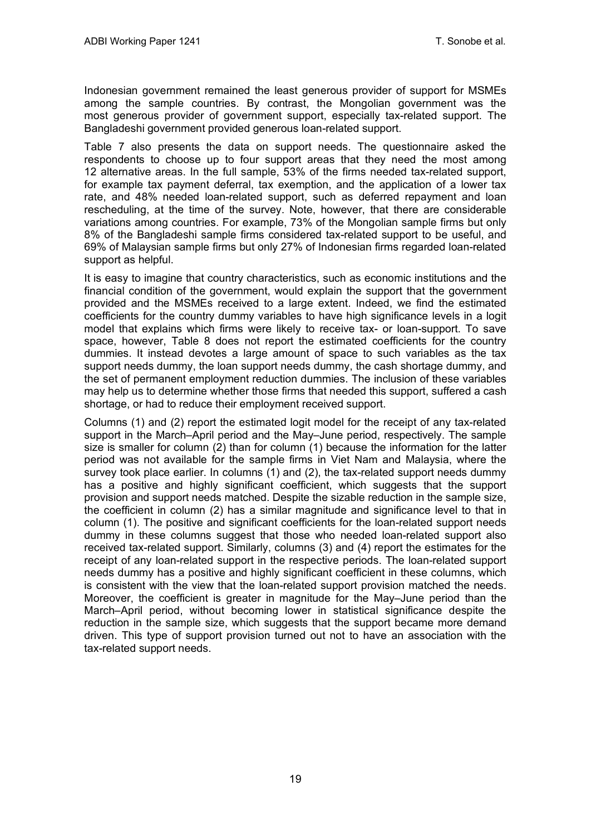Indonesian government remained the least generous provider of support for MSMEs among the sample countries. By contrast, the Mongolian government was the most generous provider of government support, especially tax-related support. The Bangladeshi government provided generous loan-related support.

Table 7 also presents the data on support needs. The questionnaire asked the respondents to choose up to four support areas that they need the most among 12 alternative areas. In the full sample, 53% of the firms needed tax-related support, for example tax payment deferral, tax exemption, and the application of a lower tax rate, and 48% needed loan-related support, such as deferred repayment and loan rescheduling, at the time of the survey. Note, however, that there are considerable variations among countries. For example, 73% of the Mongolian sample firms but only 8% of the Bangladeshi sample firms considered tax-related support to be useful, and 69% of Malaysian sample firms but only 27% of Indonesian firms regarded loan-related support as helpful.

It is easy to imagine that country characteristics, such as economic institutions and the financial condition of the government, would explain the support that the government provided and the MSMEs received to a large extent. Indeed, we find the estimated coefficients for the country dummy variables to have high significance levels in a logit model that explains which firms were likely to receive tax- or loan-support. To save space, however, Table 8 does not report the estimated coefficients for the country dummies. It instead devotes a large amount of space to such variables as the tax support needs dummy, the loan support needs dummy, the cash shortage dummy, and the set of permanent employment reduction dummies. The inclusion of these variables may help us to determine whether those firms that needed this support, suffered a cash shortage, or had to reduce their employment received support.

Columns (1) and (2) report the estimated logit model for the receipt of any tax-related support in the March–April period and the May–June period, respectively. The sample size is smaller for column (2) than for column (1) because the information for the latter period was not available for the sample firms in Viet Nam and Malaysia, where the survey took place earlier. In columns (1) and (2), the tax-related support needs dummy has a positive and highly significant coefficient, which suggests that the support provision and support needs matched. Despite the sizable reduction in the sample size, the coefficient in column (2) has a similar magnitude and significance level to that in column (1). The positive and significant coefficients for the loan-related support needs dummy in these columns suggest that those who needed loan-related support also received tax-related support. Similarly, columns (3) and (4) report the estimates for the receipt of any loan-related support in the respective periods. The loan-related support needs dummy has a positive and highly significant coefficient in these columns, which is consistent with the view that the loan-related support provision matched the needs. Moreover, the coefficient is greater in magnitude for the May–June period than the March–April period, without becoming lower in statistical significance despite the reduction in the sample size, which suggests that the support became more demand driven. This type of support provision turned out not to have an association with the tax-related support needs.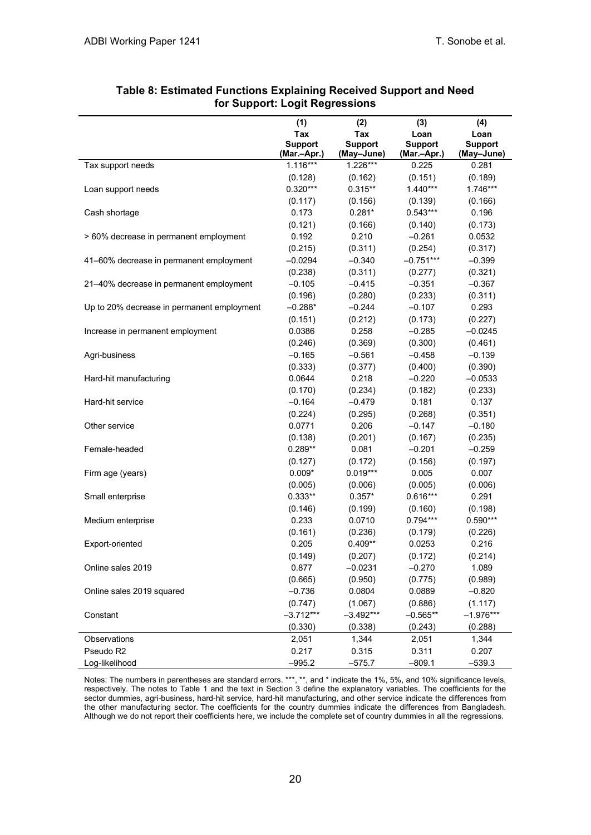|                                                                                      | (1)                                                                         | (2)                                                                       | (3)                                                                      | (4)                                                                         |
|--------------------------------------------------------------------------------------|-----------------------------------------------------------------------------|---------------------------------------------------------------------------|--------------------------------------------------------------------------|-----------------------------------------------------------------------------|
|                                                                                      | Tax                                                                         | Tax                                                                       | Loan                                                                     | Loan                                                                        |
|                                                                                      | <b>Support</b><br>(Mar.-Apr.)                                               | <b>Support</b><br>(May-June)                                              | <b>Support</b><br>(Mar.-Apr.)                                            | <b>Support</b><br>(May-June)                                                |
| Tax support needs                                                                    | $1.116***$                                                                  | $1.226***$                                                                | 0.225                                                                    | 0.281                                                                       |
|                                                                                      | (0.128)                                                                     | (0.162)                                                                   | (0.151)                                                                  | (0.189)                                                                     |
| Loan support needs                                                                   | $0.320***$                                                                  | $0.315**$                                                                 | $1.440***$                                                               | 1.746***                                                                    |
|                                                                                      | (0.117)                                                                     | (0.156)                                                                   | (0.139)                                                                  | (0.166)                                                                     |
| Cash shortage                                                                        | 0.173                                                                       | $0.281*$                                                                  | $0.543***$                                                               | 0.196                                                                       |
|                                                                                      | (0.121)                                                                     | (0.166)                                                                   | (0.140)                                                                  | (0.173)                                                                     |
| > 60% decrease in permanent employment                                               | 0.192                                                                       | 0.210                                                                     | $-0.261$                                                                 | 0.0532                                                                      |
|                                                                                      | (0.215)                                                                     | (0.311)                                                                   | (0.254)                                                                  | (0.317)                                                                     |
| 41-60% decrease in permanent employment                                              | $-0.0294$                                                                   | $-0.340$                                                                  | $-0.751***$                                                              | $-0.399$                                                                    |
|                                                                                      | (0.238)                                                                     | (0.311)                                                                   | (0.277)                                                                  | (0.321)                                                                     |
| 21-40% decrease in permanent employment                                              | $-0.105$                                                                    | $-0.415$                                                                  | $-0.351$                                                                 | $-0.367$                                                                    |
|                                                                                      | (0.196)                                                                     | (0.280)                                                                   | (0.233)                                                                  | (0.311)                                                                     |
| Up to 20% decrease in permanent employment                                           | $-0.288*$                                                                   | $-0.244$                                                                  | $-0.107$                                                                 | 0.293                                                                       |
|                                                                                      | (0.151)                                                                     | (0.212)                                                                   | (0.173)                                                                  | (0.227)                                                                     |
| Increase in permanent employment                                                     | 0.0386                                                                      | 0.258                                                                     | $-0.285$                                                                 | $-0.0245$                                                                   |
|                                                                                      | (0.246)                                                                     | (0.369)                                                                   | (0.300)                                                                  | (0.461)                                                                     |
| Agri-business                                                                        | $-0.165$                                                                    | $-0.561$                                                                  | $-0.458$                                                                 | $-0.139$                                                                    |
|                                                                                      | (0.333)                                                                     | (0.377)                                                                   | (0.400)                                                                  | (0.390)                                                                     |
| Hard-hit manufacturing                                                               | 0.0644                                                                      | 0.218                                                                     | $-0.220$                                                                 | $-0.0533$                                                                   |
|                                                                                      | (0.170)                                                                     | (0.234)                                                                   | (0.182)                                                                  | (0.233)                                                                     |
| Hard-hit service                                                                     | $-0.164$                                                                    | $-0.479$                                                                  | 0.181                                                                    | 0.137                                                                       |
|                                                                                      | (0.224)                                                                     | (0.295)                                                                   | (0.268)                                                                  | (0.351)                                                                     |
| Other service                                                                        | 0.0771                                                                      | 0.206                                                                     | $-0.147$                                                                 | $-0.180$                                                                    |
|                                                                                      | (0.138)                                                                     | (0.201)                                                                   | (0.167)                                                                  | (0.235)                                                                     |
| Female-headed                                                                        | $0.289**$                                                                   | 0.081                                                                     | $-0.201$                                                                 | $-0.259$                                                                    |
|                                                                                      | (0.127)                                                                     | (0.172)                                                                   | (0.156)                                                                  | (0.197)                                                                     |
| Firm age (years)                                                                     | $0.009*$                                                                    | $0.019***$                                                                | 0.005                                                                    | 0.007                                                                       |
|                                                                                      | (0.005)                                                                     | (0.006)                                                                   | (0.005)                                                                  | (0.006)                                                                     |
| Small enterprise                                                                     | $0.333**$                                                                   | $0.357*$                                                                  | $0.616***$                                                               | 0.291                                                                       |
|                                                                                      | (0.146)                                                                     | (0.199)                                                                   | (0.160)                                                                  | (0.198)                                                                     |
| Medium enterprise                                                                    | 0.233                                                                       | 0.0710                                                                    | $0.794***$                                                               | $0.590***$                                                                  |
|                                                                                      | (0.161)                                                                     | (0.236)                                                                   | (0.179)                                                                  | (0.226)                                                                     |
| Export-oriented                                                                      | 0.205                                                                       | $0.409**$                                                                 | 0.0253                                                                   | 0.216                                                                       |
|                                                                                      | (0.149)                                                                     | (0.207)                                                                   | (0.172)                                                                  | (0.214)                                                                     |
| Online sales 2019                                                                    | 0.877                                                                       | $-0.0231$                                                                 | $-0.270$                                                                 | 1.089                                                                       |
|                                                                                      | (0.665)                                                                     | (0.950)                                                                   | (0.775)                                                                  | (0.989)                                                                     |
|                                                                                      |                                                                             |                                                                           |                                                                          |                                                                             |
|                                                                                      |                                                                             |                                                                           |                                                                          |                                                                             |
|                                                                                      |                                                                             |                                                                           |                                                                          |                                                                             |
|                                                                                      |                                                                             |                                                                           |                                                                          |                                                                             |
|                                                                                      |                                                                             |                                                                           |                                                                          |                                                                             |
|                                                                                      |                                                                             |                                                                           |                                                                          |                                                                             |
| Online sales 2019 squared<br>Constant<br>Observations<br>Pseudo R2<br>Log-likelihood | $-0.736$<br>(0.747)<br>$-3.712***$<br>(0.330)<br>2,051<br>0.217<br>$-995.2$ | 0.0804<br>(1.067)<br>$-3.492***$<br>(0.338)<br>1,344<br>0.315<br>$-575.7$ | 0.0889<br>(0.886)<br>$-0.565**$<br>(0.243)<br>2,051<br>0.311<br>$-809.1$ | $-0.820$<br>(1.117)<br>$-1.976***$<br>(0.288)<br>1,344<br>0.207<br>$-539.3$ |

#### **Table 8: Estimated Functions Explaining Received Support and Need for Support: Logit Regressions**

Notes: The numbers in parentheses are standard errors. \*\*\*, \*\*, and \* indicate the 1%, 5%, and 10% significance levels, respectively. The notes to Table 1 and the text in Section 3 define the explanatory variables. The coefficients for the sector dummies, agri-business, hard-hit service, hard-hit manufacturing, and other service indicate the differences from the other manufacturing sector. The coefficients for the country dummies indicate the differences from Bangladesh. Although we do not report their coefficients here, we include the complete set of country dummies in all the regressions.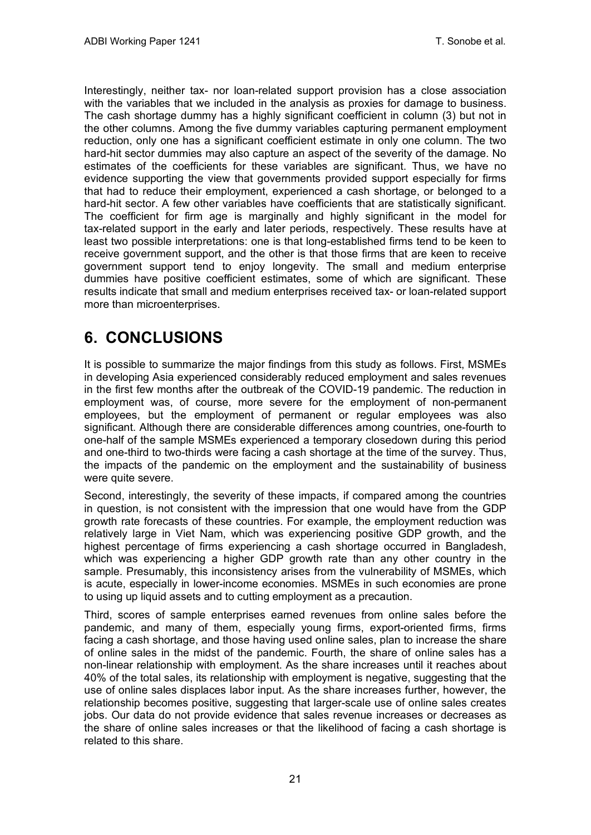Interestingly, neither tax- nor loan-related support provision has a close association with the variables that we included in the analysis as proxies for damage to business. The cash shortage dummy has a highly significant coefficient in column (3) but not in the other columns. Among the five dummy variables capturing permanent employment reduction, only one has a significant coefficient estimate in only one column. The two hard-hit sector dummies may also capture an aspect of the severity of the damage. No estimates of the coefficients for these variables are significant. Thus, we have no evidence supporting the view that governments provided support especially for firms that had to reduce their employment, experienced a cash shortage, or belonged to a hard-hit sector. A few other variables have coefficients that are statistically significant. The coefficient for firm age is marginally and highly significant in the model for tax-related support in the early and later periods, respectively. These results have at least two possible interpretations: one is that long-established firms tend to be keen to receive government support, and the other is that those firms that are keen to receive government support tend to enjoy longevity. The small and medium enterprise dummies have positive coefficient estimates, some of which are significant. These results indicate that small and medium enterprises received tax- or loan-related support more than microenterprises.

### <span id="page-24-0"></span>**6. CONCLUSIONS**

It is possible to summarize the major findings from this study as follows. First, MSMEs in developing Asia experienced considerably reduced employment and sales revenues in the first few months after the outbreak of the COVID-19 pandemic. The reduction in employment was, of course, more severe for the employment of non-permanent employees, but the employment of permanent or regular employees was also significant. Although there are considerable differences among countries, one-fourth to one-half of the sample MSMEs experienced a temporary closedown during this period and one-third to two-thirds were facing a cash shortage at the time of the survey. Thus, the impacts of the pandemic on the employment and the sustainability of business were quite severe.

Second, interestingly, the severity of these impacts, if compared among the countries in question, is not consistent with the impression that one would have from the GDP growth rate forecasts of these countries. For example, the employment reduction was relatively large in Viet Nam, which was experiencing positive GDP growth, and the highest percentage of firms experiencing a cash shortage occurred in Bangladesh, which was experiencing a higher GDP growth rate than any other country in the sample. Presumably, this inconsistency arises from the vulnerability of MSMEs, which is acute, especially in lower-income economies. MSMEs in such economies are prone to using up liquid assets and to cutting employment as a precaution.

Third, scores of sample enterprises earned revenues from online sales before the pandemic, and many of them, especially young firms, export-oriented firms, firms facing a cash shortage, and those having used online sales, plan to increase the share of online sales in the midst of the pandemic. Fourth, the share of online sales has a non-linear relationship with employment. As the share increases until it reaches about 40% of the total sales, its relationship with employment is negative, suggesting that the use of online sales displaces labor input. As the share increases further, however, the relationship becomes positive, suggesting that larger-scale use of online sales creates jobs. Our data do not provide evidence that sales revenue increases or decreases as the share of online sales increases or that the likelihood of facing a cash shortage is related to this share.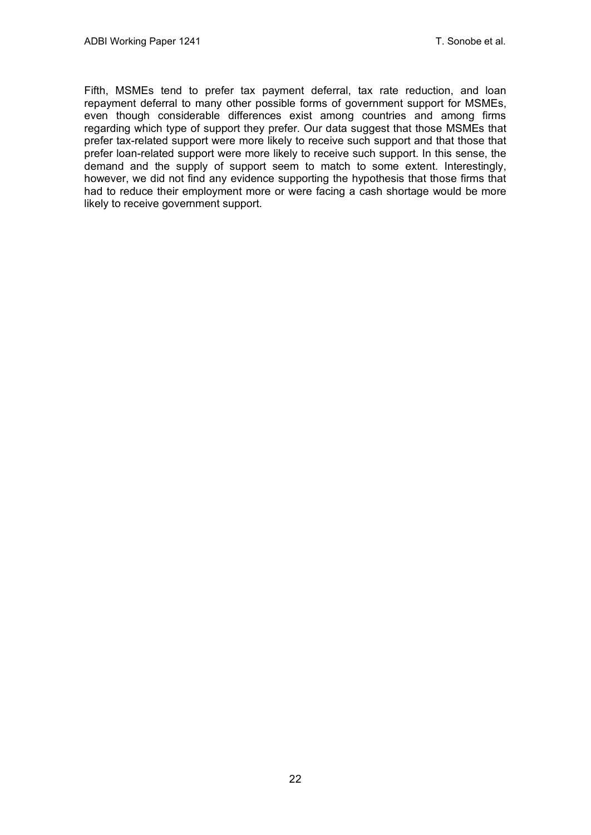Fifth, MSMEs tend to prefer tax payment deferral, tax rate reduction, and loan repayment deferral to many other possible forms of government support for MSMEs, even though considerable differences exist among countries and among firms regarding which type of support they prefer. Our data suggest that those MSMEs that prefer tax-related support were more likely to receive such support and that those that prefer loan-related support were more likely to receive such support. In this sense, the demand and the supply of support seem to match to some extent. Interestingly, however, we did not find any evidence supporting the hypothesis that those firms that had to reduce their employment more or were facing a cash shortage would be more likely to receive government support.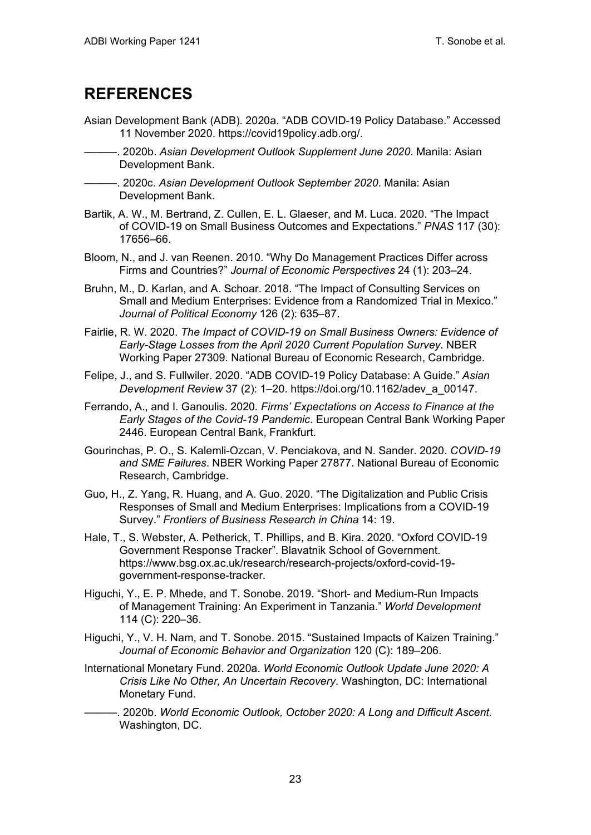### <span id="page-26-0"></span>**REFERENCES**

- Asian Development Bank (ADB). 2020a. "ADB COVID-19 Policy Database." Accessed 11 November 2020. https://covid19policy.adb.org/.
	- ———. 2020b. *Asian Development Outlook Supplement June 2020*. Manila: Asian Development Bank.

———. 2020c. *Asian Development Outlook September 2020*. Manila: Asian Development Bank.

- Bartik, A. W., M. Bertrand, Z. Cullen, E. L. Glaeser, and M. Luca. 2020. "The Impact of COVID-19 on Small Business Outcomes and Expectations." *PNAS* 117 (30): 17656–66.
- Bloom, N., and J. van Reenen. 2010. "Why Do Management Practices Differ across Firms and Countries?" *Journal of Economic Perspectives* 24 (1): 203–24.
- Bruhn, M., D. Karlan, and A. Schoar. 2018. "The Impact of Consulting Services on Small and Medium Enterprises: Evidence from a Randomized Trial in Mexico." *Journal of Political Economy* 126 (2): 635–87.
- Fairlie, R. W. 2020. *The Impact of COVID-19 on Small Business Owners: Evidence of Early-Stage Losses from the April 2020 Current Population Survey*. NBER Working Paper 27309. National Bureau of Economic Research, Cambridge.
- Felipe, J., and S. Fullwiler. 2020. "ADB COVID-19 Policy Database: A Guide." *Asian Development Review* 37 (2): 1–20. https://doi.org/10.1162/adev\_a\_00147.
- Ferrando, A., and I. Ganoulis. 2020*. Firms' Expectations on Access to Finance at the Early Stages of the Covid-19 Pandemic*. European Central Bank Working Paper 2446. European Central Bank, Frankfurt.
- Gourinchas, P. O., S. Kalemli-Ozcan, V. Penciakova, and N. Sander. 2020. *COVID-19 and SME Failures*. NBER Working Paper 27877. National Bureau of Economic Research, Cambridge.
- Guo, H., Z. Yang, R. Huang, and A. Guo. 2020. "The Digitalization and Public Crisis Responses of Small and Medium Enterprises: Implications from a COVID-19 Survey." *Frontiers of Business Research in China* 14: 19.
- Hale, T., S. Webster, A. Petherick, T. Phillips, and B. Kira. 2020. "Oxford COVID-19 Government Response Tracker". Blavatnik School of Government. https://www.bsg.ox.ac.uk/research/research-projects/oxford-covid-19 government-response-tracker.
- Higuchi, Y., E. P. Mhede, and T. Sonobe. 2019. "Short- and Medium-Run Impacts of Management Training: An Experiment in Tanzania." *World Development* 114 (C): 220–36.
- Higuchi, Y., V. H. Nam, and T. Sonobe. 2015. "Sustained Impacts of Kaizen Training." *Journal of Economic Behavior and Organization* 120 (C): 189–206.
- International Monetary Fund. 2020a. *World Economic Outlook Update June 2020: A Crisis Like No Other, An Uncertain Recovery*. Washington, DC: International Monetary Fund.
- ———. 2020b. *World Economic Outlook, October 2020: A Long and Difficult Ascent*. Washington, DC.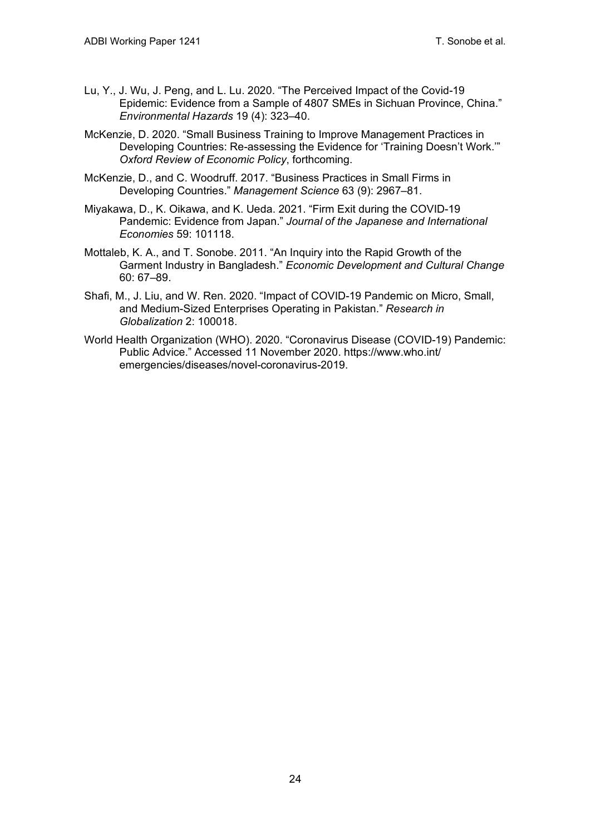- Lu, Y., J. Wu, J. Peng, and L. Lu. 2020. "The Perceived Impact of the Covid-19 Epidemic: Evidence from a Sample of 4807 SMEs in Sichuan Province, China." *Environmental Hazards* 19 (4): 323–40.
- McKenzie, D. 2020. "Small Business Training to Improve Management Practices in Developing Countries: Re-assessing the Evidence for 'Training Doesn't Work.'" *Oxford Review of Economic Policy*, forthcoming.
- McKenzie, D., and C. Woodruff. 2017. "Business Practices in Small Firms in Developing Countries." *Management Science* 63 (9): 2967–81.
- Miyakawa, D., K. Oikawa, and K. Ueda. 2021. "Firm Exit during the COVID-19 Pandemic: Evidence from Japan." *Journal of the Japanese and International Economies* 59: 101118.
- Mottaleb, K. A., and T. Sonobe. 2011. "An Inquiry into the Rapid Growth of the Garment Industry in Bangladesh." *Economic Development and Cultural Change* 60: 67–89.
- Shafi, M., J. Liu, and W. Ren. 2020. "Impact of COVID-19 Pandemic on Micro, Small, and Medium-Sized Enterprises Operating in Pakistan." *Research in Globalization* 2: 100018.
- World Health Organization (WHO). 2020. "Coronavirus Disease (COVID-19) Pandemic: Public Advice." Accessed 11 November 2020. https://www.who.int/ emergencies/diseases/novel-coronavirus-2019.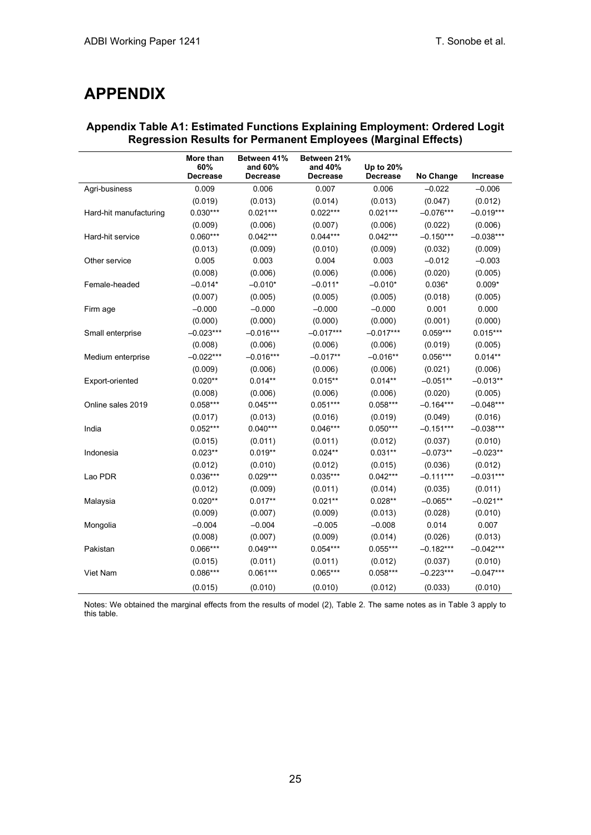### <span id="page-28-0"></span>**APPENDIX**

|                        | More than<br>60% | Between 41%<br>and 60% | Between 21%<br>and 40% | Up to 20%       |             |             |
|------------------------|------------------|------------------------|------------------------|-----------------|-------------|-------------|
|                        | <b>Decrease</b>  | <b>Decrease</b>        | <b>Decrease</b>        | <b>Decrease</b> | No Change   | Increase    |
| Agri-business          | 0.009            | 0.006                  | 0.007                  | 0.006           | $-0.022$    | $-0.006$    |
|                        | (0.019)          | (0.013)                | (0.014)                | (0.013)         | (0.047)     | (0.012)     |
| Hard-hit manufacturing | $0.030***$       | $0.021***$             | $0.022***$             | $0.021***$      | $-0.076***$ | $-0.019***$ |
|                        | (0.009)          | (0.006)                | (0.007)                | (0.006)         | (0.022)     | (0.006)     |
| Hard-hit service       | $0.060***$       | $0.042***$             | $0.044***$             | $0.042***$      | $-0.150***$ | $-0.038***$ |
|                        | (0.013)          | (0.009)                | (0.010)                | (0.009)         | (0.032)     | (0.009)     |
| Other service          | 0.005            | 0.003                  | 0.004                  | 0.003           | $-0.012$    | $-0.003$    |
|                        | (0.008)          | (0.006)                | (0.006)                | (0.006)         | (0.020)     | (0.005)     |
| Female-headed          | $-0.014*$        | $-0.010*$              | $-0.011*$              | $-0.010*$       | $0.036*$    | $0.009*$    |
|                        | (0.007)          | (0.005)                | (0.005)                | (0.005)         | (0.018)     | (0.005)     |
| Firm age               | $-0.000$         | $-0.000$               | $-0.000$               | $-0.000$        | 0.001       | 0.000       |
|                        | (0.000)          | (0.000)                | (0.000)                | (0.000)         | (0.001)     | (0.000)     |
| Small enterprise       | $-0.023***$      | $-0.016***$            | $-0.017***$            | $-0.017***$     | $0.059***$  | $0.015***$  |
|                        | (0.008)          | (0.006)                | (0.006)                | (0.006)         | (0.019)     | (0.005)     |
| Medium enterprise      | $-0.022***$      | $-0.016***$            | $-0.017**$             | $-0.016**$      | $0.056***$  | $0.014**$   |
|                        | (0.009)          | (0.006)                | (0.006)                | (0.006)         | (0.021)     | (0.006)     |
| Export-oriented        | $0.020**$        | $0.014**$              | $0.015**$              | $0.014**$       | $-0.051**$  | $-0.013**$  |
|                        | (0.008)          | (0.006)                | (0.006)                | (0.006)         | (0.020)     | (0.005)     |
| Online sales 2019      | $0.058***$       | $0.045***$             | $0.051***$             | $0.058***$      | $-0.164***$ | $-0.048***$ |
|                        | (0.017)          | (0.013)                | (0.016)                | (0.019)         | (0.049)     | (0.016)     |
| India                  | $0.052***$       | $0.040***$             | $0.046***$             | $0.050***$      | $-0.151***$ | $-0.038***$ |
|                        | (0.015)          | (0.011)                | (0.011)                | (0.012)         | (0.037)     | (0.010)     |
| Indonesia              | $0.023**$        | $0.019**$              | $0.024**$              | $0.031**$       | $-0.073**$  | $-0.023**$  |
|                        | (0.012)          | (0.010)                | (0.012)                | (0.015)         | (0.036)     | (0.012)     |
| Lao PDR                | $0.036***$       | $0.029***$             | $0.035***$             | $0.042***$      | $-0.111***$ | $-0.031***$ |
|                        | (0.012)          | (0.009)                | (0.011)                | (0.014)         | (0.035)     | (0.011)     |
| Malaysia               | $0.020**$        | $0.017**$              | $0.021**$              | $0.028**$       | $-0.065**$  | $-0.021**$  |
|                        | (0.009)          | (0.007)                | (0.009)                | (0.013)         | (0.028)     | (0.010)     |
| Mongolia               | $-0.004$         | $-0.004$               | $-0.005$               | $-0.008$        | 0.014       | 0.007       |
|                        | (0.008)          | (0.007)                | (0.009)                | (0.014)         | (0.026)     | (0.013)     |
| Pakistan               | $0.066***$       | $0.049***$             | $0.054***$             | $0.055***$      | $-0.182***$ | $-0.042***$ |
|                        | (0.015)          | (0.011)                | (0.011)                | (0.012)         | (0.037)     | (0.010)     |
| Viet Nam               | $0.086***$       | $0.061***$             | $0.065***$             | $0.058***$      | $-0.223***$ | $-0.047***$ |
|                        | (0.015)          | (0.010)                | (0.010)                | (0.012)         | (0.033)     | (0.010)     |

### **Appendix Table A1: Estimated Functions Explaining Employment: Ordered Logit Regression Results for Permanent Employees (Marginal Effects)**

Notes: We obtained the marginal effects from the results of model (2), Table 2. The same notes as in Table 3 apply to this table.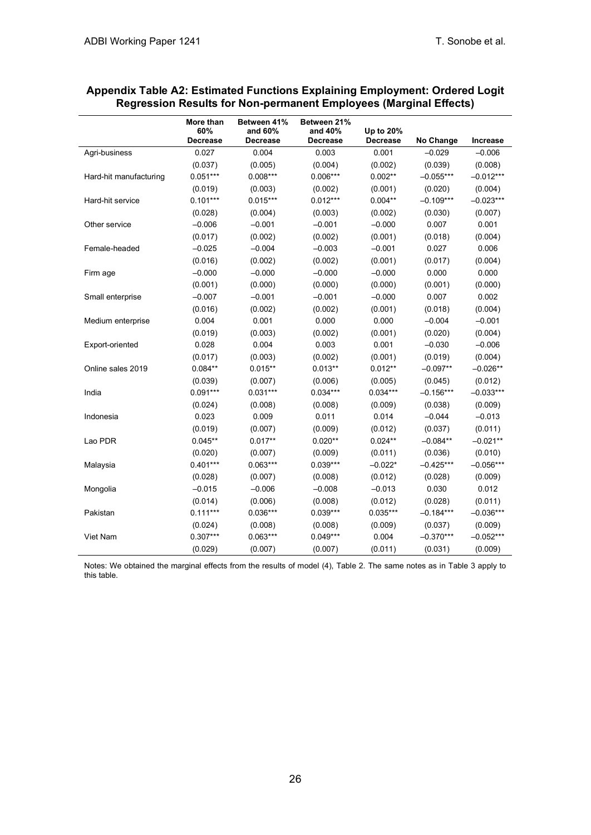|                        | More than<br>60%<br>Decrease | <b>Between 41%</b><br>and 60%<br><b>Decrease</b> | Between 21%<br>and 40%<br>Decrease | Up to 20%<br>Decrease | No Change   | Increase    |
|------------------------|------------------------------|--------------------------------------------------|------------------------------------|-----------------------|-------------|-------------|
| Agri-business          | 0.027                        | 0.004                                            | 0.003                              | 0.001                 | $-0.029$    | $-0.006$    |
|                        | (0.037)                      | (0.005)                                          | (0.004)                            | (0.002)               | (0.039)     | (0.008)     |
| Hard-hit manufacturing | $0.051***$                   | $0.008***$                                       | $0.006***$                         | $0.002**$             | $-0.055***$ | $-0.012***$ |
|                        | (0.019)                      | (0.003)                                          | (0.002)                            | (0.001)               | (0.020)     | (0.004)     |
| Hard-hit service       | $0.101***$                   | $0.015***$                                       | $0.012***$                         | $0.004**$             | $-0.109***$ | $-0.023***$ |
|                        | (0.028)                      | (0.004)                                          | (0.003)                            | (0.002)               | (0.030)     | (0.007)     |
| Other service          | $-0.006$                     | $-0.001$                                         | $-0.001$                           | $-0.000$              | 0.007       | 0.001       |
|                        | (0.017)                      | (0.002)                                          | (0.002)                            | (0.001)               | (0.018)     | (0.004)     |
| Female-headed          | $-0.025$                     | $-0.004$                                         | $-0.003$                           | $-0.001$              | 0.027       | 0.006       |
|                        | (0.016)                      | (0.002)                                          | (0.002)                            | (0.001)               | (0.017)     | (0.004)     |
| Firm age               | $-0.000$                     | $-0.000$                                         | $-0.000$                           | $-0.000$              | 0.000       | 0.000       |
|                        | (0.001)                      | (0.000)                                          | (0.000)                            | (0.000)               | (0.001)     | (0.000)     |
| Small enterprise       | $-0.007$                     | $-0.001$                                         | $-0.001$                           | $-0.000$              | 0.007       | 0.002       |
|                        | (0.016)                      | (0.002)                                          | (0.002)                            | (0.001)               | (0.018)     | (0.004)     |
| Medium enterprise      | 0.004                        | 0.001                                            | 0.000                              | 0.000                 | $-0.004$    | $-0.001$    |
|                        | (0.019)                      | (0.003)                                          | (0.002)                            | (0.001)               | (0.020)     | (0.004)     |
| Export-oriented        | 0.028                        | 0.004                                            | 0.003                              | 0.001                 | $-0.030$    | $-0.006$    |
|                        | (0.017)                      | (0.003)                                          | (0.002)                            | (0.001)               | (0.019)     | (0.004)     |
| Online sales 2019      | $0.084**$                    | $0.015**$                                        | $0.013**$                          | $0.012**$             | $-0.097**$  | $-0.026**$  |
|                        | (0.039)                      | (0.007)                                          | (0.006)                            | (0.005)               | (0.045)     | (0.012)     |
| India                  | $0.091***$                   | $0.031***$                                       | $0.034***$                         | $0.034***$            | $-0.156***$ | $-0.033***$ |
|                        | (0.024)                      | (0.008)                                          | (0.008)                            | (0.009)               | (0.038)     | (0.009)     |
| Indonesia              | 0.023                        | 0.009                                            | 0.011                              | 0.014                 | $-0.044$    | $-0.013$    |
|                        | (0.019)                      | (0.007)                                          | (0.009)                            | (0.012)               | (0.037)     | (0.011)     |
| Lao PDR                | $0.045**$                    | $0.017**$                                        | $0.020**$                          | $0.024**$             | $-0.084**$  | $-0.021**$  |
|                        | (0.020)                      | (0.007)                                          | (0.009)                            | (0.011)               | (0.036)     | (0.010)     |
| Malaysia               | $0.401***$                   | $0.063***$                                       | $0.039***$                         | $-0.022*$             | $-0.425***$ | $-0.056***$ |
|                        | (0.028)                      | (0.007)                                          | (0.008)                            | (0.012)               | (0.028)     | (0.009)     |
| Mongolia               | $-0.015$                     | $-0.006$                                         | $-0.008$                           | $-0.013$              | 0.030       | 0.012       |
|                        | (0.014)                      | (0.006)                                          | (0.008)                            | (0.012)               | (0.028)     | (0.011)     |
| Pakistan               | $0.111***$                   | $0.036***$                                       | $0.039***$                         | $0.035***$            | $-0.184***$ | $-0.036***$ |
|                        | (0.024)                      | (0.008)                                          | (0.008)                            | (0.009)               | (0.037)     | (0.009)     |
| Viet Nam               | $0.307***$                   | $0.063***$                                       | $0.049***$                         | 0.004                 | $-0.370***$ | $-0.052***$ |
|                        | (0.029)                      | (0.007)                                          | (0.007)                            | (0.011)               | (0.031)     | (0.009)     |

### **Appendix Table A2: Estimated Functions Explaining Employment: Ordered Logit Regression Results for Non-permanent Employees (Marginal Effects)**

Notes: We obtained the marginal effects from the results of model (4), Table 2. The same notes as in Table 3 apply to this table.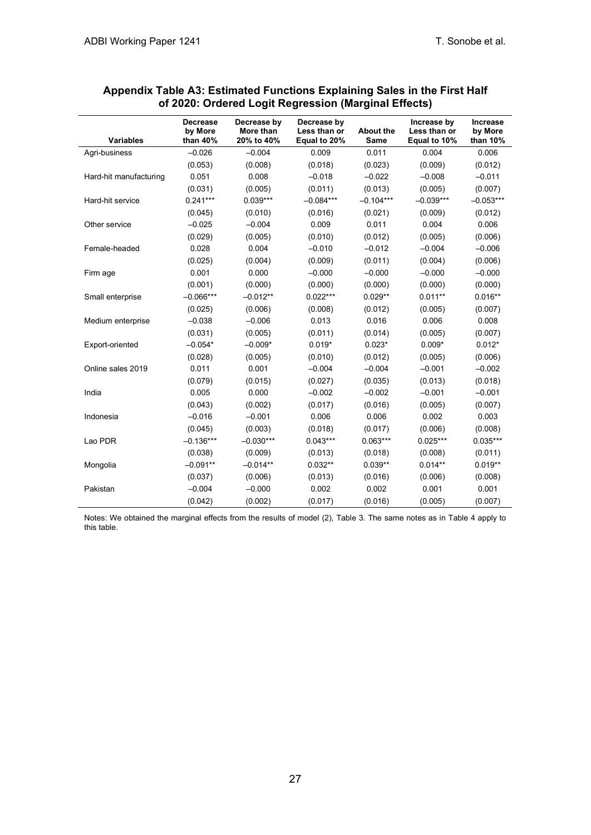|                        | <b>Decrease</b><br>by More | Decrease by<br>More than | Decrease by<br>Less than or | <b>About the</b> | Increase by<br>Less than or | <b>Increase</b><br>by More |
|------------------------|----------------------------|--------------------------|-----------------------------|------------------|-----------------------------|----------------------------|
| <b>Variables</b>       | than 40%                   | 20% to 40%               | Equal to 20%                | <b>Same</b>      | Equal to 10%                | than 10%                   |
| Agri-business          | $-0.026$                   | $-0.004$                 | 0.009                       | 0.011            | 0.004                       | 0.006                      |
|                        | (0.053)                    | (0.008)                  | (0.018)                     | (0.023)          | (0.009)                     | (0.012)                    |
| Hard-hit manufacturing | 0.051                      | 0.008                    | $-0.018$                    | $-0.022$         | $-0.008$                    | $-0.011$                   |
|                        | (0.031)                    | (0.005)                  | (0.011)                     | (0.013)          | (0.005)                     | (0.007)                    |
| Hard-hit service       | $0.241***$                 | $0.039***$               | $-0.084***$                 | $-0.104***$      | $-0.039***$                 | $-0.053***$                |
|                        | (0.045)                    | (0.010)                  | (0.016)                     | (0.021)          | (0.009)                     | (0.012)                    |
| Other service          | $-0.025$                   | $-0.004$                 | 0.009                       | 0.011            | 0.004                       | 0.006                      |
|                        | (0.029)                    | (0.005)                  | (0.010)                     | (0.012)          | (0.005)                     | (0.006)                    |
| Female-headed          | 0.028                      | 0.004                    | $-0.010$                    | $-0.012$         | $-0.004$                    | $-0.006$                   |
|                        | (0.025)                    | (0.004)                  | (0.009)                     | (0.011)          | (0.004)                     | (0.006)                    |
| Firm age               | 0.001                      | 0.000                    | $-0.000$                    | $-0.000$         | $-0.000$                    | $-0.000$                   |
|                        | (0.001)                    | (0.000)                  | (0.000)                     | (0.000)          | (0.000)                     | (0.000)                    |
| Small enterprise       | $-0.066***$                | $-0.012**$               | $0.022***$                  | $0.029**$        | $0.011**$                   | $0.016**$                  |
|                        | (0.025)                    | (0.006)                  | (0.008)                     | (0.012)          | (0.005)                     | (0.007)                    |
| Medium enterprise      | $-0.038$                   | $-0.006$                 | 0.013                       | 0.016            | 0.006                       | 0.008                      |
|                        | (0.031)                    | (0.005)                  | (0.011)                     | (0.014)          | (0.005)                     | (0.007)                    |
| Export-oriented        | $-0.054*$                  | $-0.009*$                | $0.019*$                    | $0.023*$         | $0.009*$                    | $0.012*$                   |
|                        | (0.028)                    | (0.005)                  | (0.010)                     | (0.012)          | (0.005)                     | (0.006)                    |
| Online sales 2019      | 0.011                      | 0.001                    | $-0.004$                    | $-0.004$         | $-0.001$                    | $-0.002$                   |
|                        | (0.079)                    | (0.015)                  | (0.027)                     | (0.035)          | (0.013)                     | (0.018)                    |
| India                  | 0.005                      | 0.000                    | $-0.002$                    | $-0.002$         | $-0.001$                    | $-0.001$                   |
|                        | (0.043)                    | (0.002)                  | (0.017)                     | (0.016)          | (0.005)                     | (0.007)                    |
| Indonesia              | $-0.016$                   | $-0.001$                 | 0.006                       | 0.006            | 0.002                       | 0.003                      |
|                        | (0.045)                    | (0.003)                  | (0.018)                     | (0.017)          | (0.006)                     | (0.008)                    |
| Lao PDR                | $-0.136***$                | $-0.030***$              | $0.043***$                  | $0.063***$       | $0.025***$                  | $0.035***$                 |
|                        | (0.038)                    | (0.009)                  | (0.013)                     | (0.018)          | (0.008)                     | (0.011)                    |
| Mongolia               | $-0.091**$                 | $-0.014**$               | $0.032**$                   | $0.039**$        | $0.014**$                   | $0.019**$                  |
|                        | (0.037)                    | (0.006)                  | (0.013)                     | (0.016)          | (0.006)                     | (0.008)                    |
| Pakistan               | $-0.004$                   | $-0.000$                 | 0.002                       | 0.002            | 0.001                       | 0.001                      |
|                        | (0.042)                    | (0.002)                  | (0.017)                     | (0.016)          | (0.005)                     | (0.007)                    |

### **Appendix Table A3: Estimated Functions Explaining Sales in the First Half of 2020: Ordered Logit Regression (Marginal Effects)**

Notes: We obtained the marginal effects from the results of model (2), Table 3. The same notes as in Table 4 apply to this table.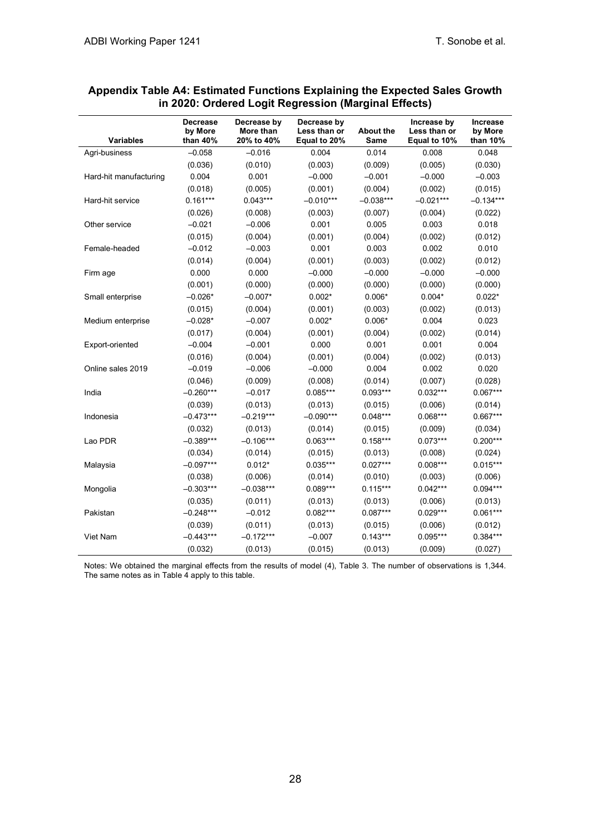| <b>Variables</b>       | <b>Decrease</b><br>by More<br>than 40% | Decrease by<br>More than<br>20% to 40% | Decrease by<br>Less than or<br>Equal to 20% | <b>About the</b><br>Same | Increase by<br>Less than or<br>Equal to 10% | <b>Increase</b><br>by More<br>than 10% |
|------------------------|----------------------------------------|----------------------------------------|---------------------------------------------|--------------------------|---------------------------------------------|----------------------------------------|
| Agri-business          | $-0.058$                               | $-0.016$                               | 0.004                                       | 0.014                    | 0.008                                       | 0.048                                  |
|                        | (0.036)                                | (0.010)                                | (0.003)                                     | (0.009)                  | (0.005)                                     | (0.030)                                |
| Hard-hit manufacturing | 0.004                                  | 0.001                                  | $-0.000$                                    | $-0.001$                 | $-0.000$                                    | $-0.003$                               |
|                        | (0.018)                                | (0.005)                                | (0.001)                                     | (0.004)                  | (0.002)                                     | (0.015)                                |
| Hard-hit service       | $0.161***$                             | $0.043***$                             | $-0.010***$                                 | $-0.038***$              | $-0.021***$                                 | $-0.134***$                            |
|                        | (0.026)                                | (0.008)                                | (0.003)                                     | (0.007)                  | (0.004)                                     | (0.022)                                |
| Other service          | $-0.021$                               | $-0.006$                               | 0.001                                       | 0.005                    | 0.003                                       | 0.018                                  |
|                        | (0.015)                                | (0.004)                                | (0.001)                                     | (0.004)                  | (0.002)                                     | (0.012)                                |
| Female-headed          | $-0.012$                               | $-0.003$                               | 0.001                                       | 0.003                    | 0.002                                       | 0.010                                  |
|                        | (0.014)                                | (0.004)                                | (0.001)                                     | (0.003)                  | (0.002)                                     | (0.012)                                |
| Firm age               | 0.000                                  | 0.000                                  | $-0.000$                                    | $-0.000$                 | $-0.000$                                    | $-0.000$                               |
|                        | (0.001)                                | (0.000)                                | (0.000)                                     | (0.000)                  | (0.000)                                     | (0.000)                                |
| Small enterprise       | $-0.026*$                              | $-0.007*$                              | $0.002*$                                    | $0.006*$                 | $0.004*$                                    | $0.022*$                               |
|                        | (0.015)                                | (0.004)                                | (0.001)                                     | (0.003)                  | (0.002)                                     | (0.013)                                |
| Medium enterprise      | $-0.028*$                              | $-0.007$                               | $0.002*$                                    | $0.006*$                 | 0.004                                       | 0.023                                  |
|                        | (0.017)                                | (0.004)                                | (0.001)                                     | (0.004)                  | (0.002)                                     | (0.014)                                |
| Export-oriented        | $-0.004$                               | $-0.001$                               | 0.000                                       | 0.001                    | 0.001                                       | 0.004                                  |
|                        | (0.016)                                | (0.004)                                | (0.001)                                     | (0.004)                  | (0.002)                                     | (0.013)                                |
| Online sales 2019      | $-0.019$                               | $-0.006$                               | $-0.000$                                    | 0.004                    | 0.002                                       | 0.020                                  |
|                        | (0.046)                                | (0.009)                                | (0.008)                                     | (0.014)                  | (0.007)                                     | (0.028)                                |
| India                  | $-0.260***$                            | $-0.017$                               | $0.085***$                                  | $0.093***$               | $0.032***$                                  | $0.067***$                             |
|                        | (0.039)                                | (0.013)                                | (0.013)                                     | (0.015)                  | (0.006)                                     | (0.014)                                |
| Indonesia              | $-0.473***$                            | $-0.219***$                            | $-0.090***$                                 | $0.048***$               | $0.068***$                                  | $0.667***$                             |
|                        | (0.032)                                | (0.013)                                | (0.014)                                     | (0.015)                  | (0.009)                                     | (0.034)                                |
| Lao PDR                | $-0.389***$                            | $-0.106***$                            | $0.063***$                                  | $0.158***$               | $0.073***$                                  | $0.200***$                             |
|                        | (0.034)                                | (0.014)                                | (0.015)                                     | (0.013)                  | (0.008)                                     | (0.024)                                |
| Malaysia               | $-0.097***$                            | $0.012*$                               | $0.035***$                                  | $0.027***$               | $0.008***$                                  | $0.015***$                             |
|                        | (0.038)                                | (0.006)                                | (0.014)                                     | (0.010)                  | (0.003)                                     | (0.006)                                |
| Mongolia               | $-0.303***$                            | $-0.038***$                            | $0.089***$                                  | $0.115***$               | $0.042***$                                  | $0.094***$                             |
|                        | (0.035)                                | (0.011)                                | (0.013)                                     | (0.013)                  | (0.006)                                     | (0.013)                                |
| Pakistan               | $-0.248***$                            | $-0.012$                               | $0.082***$                                  | $0.087***$               | $0.029***$                                  | $0.061***$                             |
|                        | (0.039)                                | (0.011)                                | (0.013)                                     | (0.015)                  | (0.006)                                     | (0.012)                                |
| Viet Nam               | $-0.443***$                            | $-0.172***$                            | $-0.007$                                    | $0.143***$               | $0.095***$                                  | $0.384***$                             |
|                        | (0.032)                                | (0.013)                                | (0.015)                                     | (0.013)                  | (0.009)                                     | (0.027)                                |

#### **Appendix Table A4: Estimated Functions Explaining the Expected Sales Growth in 2020: Ordered Logit Regression (Marginal Effects)**

Notes: We obtained the marginal effects from the results of model (4), Table 3. The number of observations is 1,344. The same notes as in Table 4 apply to this table.